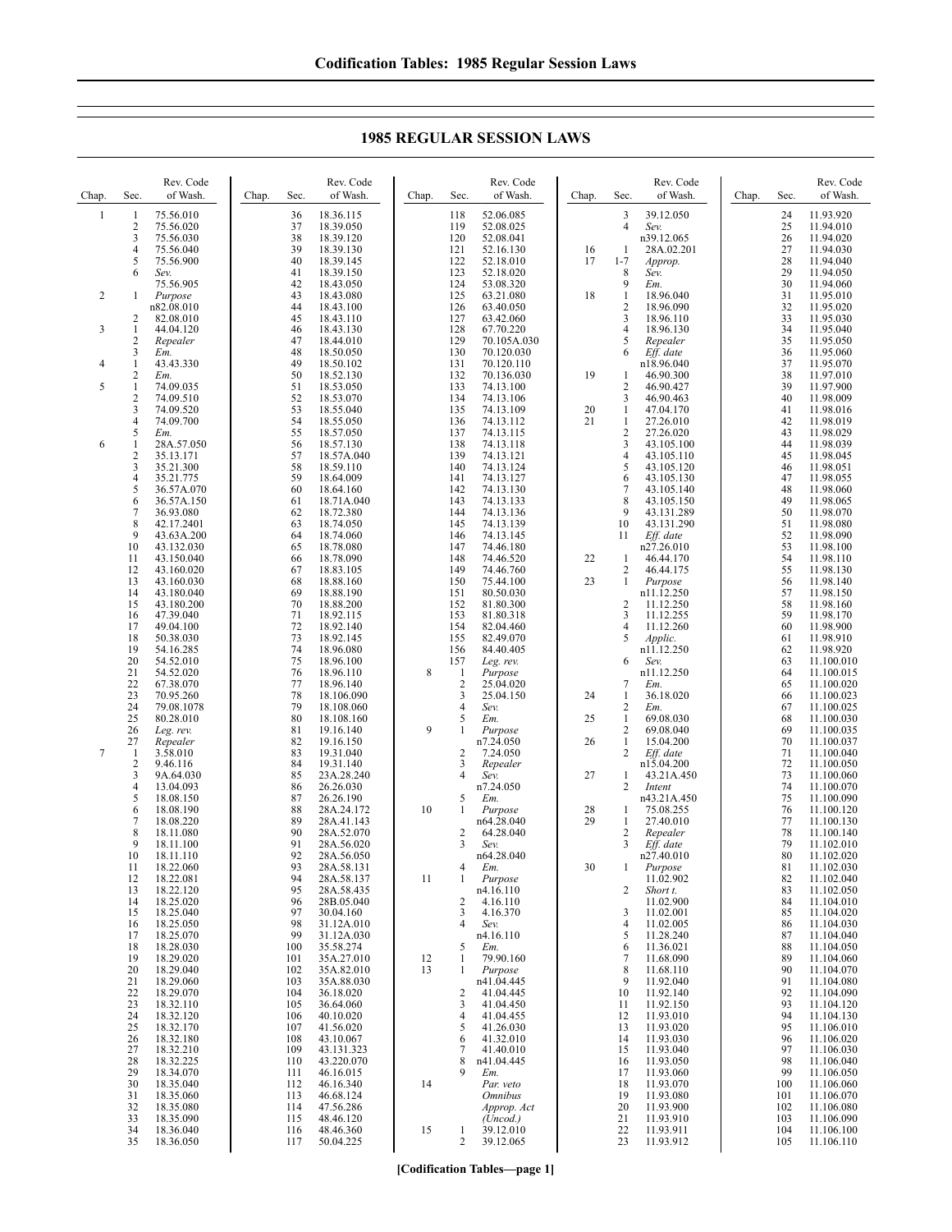Chap. Sec. Rev. Code of Wash. 1 1 75.56.010 2 75.56.020<br>3 75.56.030  $\frac{75.56.030}{4}$ 4 75.56.040 5 75.56.900 6 *Sev.* 75.56.905 2 1 *Purpose* n82.08.010 2 82.08.010 3 1 44.04.120 2 *Repealer* 3 *Em.*  $\frac{4}{2}$   $\frac{1}{2}$   $\frac{43.43.330}{km}$ 2 *Em.* 5 1 74.09.035<br>2 74.09.510<br>3 74.09.520 74.09.510 3 74.09.520  $\frac{4}{5}$  74.09.700 5 *Em.* 6 1 28A.57.050<br>2 35.13.171 2 35.13.171<br>3 35.21.300  $\begin{array}{r} 3 & 35.21.300 \\ 4 & 35.21.775 \\ 5 & 36.57A.07 \end{array}$ 35.21.775 5 36.57A.070 6 36.57A.150  $\begin{bmatrix} 7 & 36.93.080 \\ 8 & 42.17.240 \end{bmatrix}$ 8 42.17.2401<br>9 43.63A.200 9 43.63A.200<br>10 43.132.030 10 43.132.030<br>11 43.150.040 11 43.150.040 12 43.160.020 13 43.160.030 14 43.180.040<br>15 43.180.200 15 43.180.200 47.39.040 17 49.04.100<br>18 50.38.030 18 50.38.030<br>19 54.16.285 19 54.16.285<br>20 54.52.010 20 54.52.010<br>21 54.52.020 21 54.52.020<br>22 67.38.070<br>23 70.95.260 22 67.38.070 23 70.95.260 24 79.08.1078<br>25 80.28.010 25 80.28.010<br>26 Leg. rev. 26 *Leg. rev.* 27 *Repealer* 7 1 3.58.010 2 9.46.116<br>3 9A.64.03 3 9A.64.030 4 13.04.093 5 18.08.150<br>6 18.08.190 18.08.190 7 18.08.220<br>8 18.11.080 8 18.11.080<br>9 18.11.100 9 18.11.100 10 18.11.110 11 18.22.060 12 18.22.081 13 18.22.120 14 18.25.020 15 18.25.040<br>16 18.25.050 16 18.25.050<br>17 18.25.070 17 18.25.070<br>18 18 28 030 18 18.28.030 19 18.29.020 20 18.29.040<br>21 18.29.060 21 18.29.060<br>22 18.29.070<br>23 18.32.110 22 18.29.070 23 18.32.110<br>24 18.32.120 24 18.32.120<br>25 18.32.170 25 18.32.170<br>26 18.32.180 26 18.32.180<br>27 18.32.210<br>28 18.32.225 27 18.32.210 28 18.32.225<br>29 18.34.070 29 18.34.070<br>30 18.35.040 30 18.35.040<br>31 18.35.060 31 18.35.060 32 18.35.080<br>33 18.35.090 33 18.35.090 34 18.36.040<br>35 18.36.050 Chap. Sec. Rev. Code of Wash. 36 18.36.115<br>37 18.39.050<br>38 18.39.120 18.39.050 38 18.39.120 39 18.39.130 40 18.39.145<br>41 18.39.150 41 18.39.150 42 18.43.050 43 18.43.080<br>44 18.43.100<br>45 18.43.110 18.43.100 45 18.43.110<br>46 18.43.130 46 18.43.130<br>47 18.44.010<br>48 18.50.050 18.44.010 48 18.50.050<br>49 18.50.102 49 18.50.102<br>50 18.52.130 50 18.52.130<br>51 18.53.050 51 18.53.050<br>52 18.53.070<br>53 18.55.040<br>54 18.55.050 52 18.53.070 18.55.040 54 18.55.050<br>55 18.57.050 55 18.57.050 56 18.57.130<br>57 18.57A.04<br>58 18.59.110 57 18.57A.040 58 18.59.110<br>59 18.64.009 59 18.64.009 60 18.64.160<br>61 18.71A.04 61 18.71A.040 62 18.72.380<br>63 18.74.050 63 18.74.050 64 18.74.060 65 18.78.080 66 18.78.090<br>67 18.83.105<br>68 18.88.160 18.83.105 68 18.88.160 69 18.88.190<br>70 18.88.200 70 18.88.200 71 18.92.115<br>72 18.92.140<br>73 18.92.145 72 18.92.140 73 18.92.145 74 18.96.080<br>75 18.96.100 75 18.96.100 76 18.96.110<br>77 18.96.140<br>78 18.106.09 18.96.140 78 18.106.090 79 18.108.060 80 18.108.160<br>81 19.16.140 81 19.16.140<br>82 19.16.150<br>83 19.31.040 82 19.16.150 83 19.31.040 84 19.31.140<br>85 23A.28.24 85 23A.28.240<br>86 26.26.030 26.26.030 87 26.26.190<br>88 28A.24.17 88 28A.24.172 89 28A.41.143 90 28A.52.070<br>91 28A 56 020 91 28A.56.020<br>92 28A.56.050<br>93 28A.58.131 28A.56.050 93 28A.58.131<br>94 28A.58.137 94 28A.58.137 95 28A.58.435<br>96 28B 05 040 96 28B.05.040<br>97 30.04.160<br>98 31.12A.010 30.04.160 98 31.12A.010<br>99 31.12A.030 99 31.12A.030<br>100 35 58 274 35.58.274 101 35A.27.010 102 35A.82.010<br>103 35A.88.030 103 35A.88.030<br>104 36.18.020 104 36.18.020<br>105 36.64.060 36.64.060 106 40.10.020<br>107 41.56.020 107 41.56.020<br>108 43.10.067 108 43.10.067<br>109 43.131.32 109 43.131.323 43.220.070 111 46.16.015 112 46.16.340 113 46.68.124<br>114 47.56.286 114 47.56.286<br>115 48.46.120 48.46.120 116 48.46.360<br>117 50.04.225 Chap. Sec. Rev. Code of Wash. 118 52.06.085 119 52.08.025<br>120 52.08.041 120 52.08.041<br>121 52.16.130 121 52.16.130<br>122 52.18.010 122 52.18.010 123 52.18.020<br>124 53.08.320 124 53.08.320<br>125 63.21.080 125 63.21.080<br>126 63.40.050 126 63.40.050<br>127 63.42.060 127 63.42.060<br>128 67.70.220 128 67.70.220<br>129 70.105A.0 129 70.105A.030<br>130 70.120.030 130 70.120.030<br>131 70.120.110 131 70.120.110 132 70.136.030<br>133 74.13.100 133 74.13.100<br>134 74.13.106 134 74.13.106 135 74.13.109<br>136 74.13.112 136 74.13.112<br>137 74.13.115 137 74.13.115 138 74.13.118 139 74.13.121 140 74.13.124 141 74.13.127<br>142 74.13.130 142 74.13.130 143 74.13.133 144 74.13.136<br>145 74.13.139 145 74.13.139<br>146 74.13.145 146 74.13.145<br>147 74.46.180 147 74.46.180<br>148 74.46.520 148 74.46.520<br>149 74.46.760 149 74.46.760<br>150 75.44.100 150 75.44.100<br>151 80.50.030 151 80.50.030<br>152 81.80.300 152 81.80.300<br>153 81.80.318 153 81.80.318<br>154 82.04.460<br>155 82.49.070 82.04.460 155 82.49.070<br>156 84.40.405 156 84.40.405<br>157 Leg. rev. Leg. rev. 8 1 *Purpose* 25.04.020  $\frac{25.04.150}{3}$ <br>4 *Sev.* 4 *Sev.* 5 *Em.* 9 1 *Purpose* n7.24.050  $\frac{2}{3}$  7.24.050<br>Repeater 3 *Repealer* 4 *Sev.* n7.24.050 5 *Em.* 10 1 *Purpose* n64.28.040 2  $64.28.040$ <br>3  $Sev$ 3 *Sev.* n64.28.040 4 *Em.* 11 1 *Purpose* n4.16.110  $\frac{2}{3}$  4.16.110<br>4.16.370 3 4.16.370<br>4 *Sev.* 4 *Sev.* n4.16.110 5 *Em.*  $\begin{array}{ccccc}\n 12 & 1 & 79.90.160 \\
 13 & 1 & Purepose\n \end{array}$ 13 1 *Purpose* n41.04.445  $\begin{array}{cc}\n 2 & 41.04.445 \\
 3 & 41.04.45\n \end{array}$ 41.04.450 4 41.04.455  $5$  41.26.030<br>6 41.32.010 6 41.32.010  $\begin{array}{cc}\n7 & 41.40.010 \\
8 & 141.04.445\n\end{array}$ n41.04.445 9 *Em.* 14 *Par. veto Omnibus Approp. Act (Uncod.)* 15 1 39.12.010<br>2 39.12.065 Chap. Sec. Rev. Code of Wash. 3 39.12.050 4 *Sev.* n<sub>39.12.065</sub> 16 1 28A.02.201<br>17 1-7 *Approp.* 17 1-7 *Approp.* 8 *Sev.*  $Em.$ 18 1 18.96.040<br>2 18.96.090  $\frac{2}{3}$  18.96.090 18.96.110 4 18.96.130<br>5 *Repealer* 5 *Repealer* 6 *Eff. date* n18.96.040 19 1 46.90.300 2 46.90.427<br>3 46.90.463 3 46.90.463<br>1 47.04.170 20 1 47.04.170<br>21 1 27.26.010 1 27.26.010<br>2 27.26.020 2 27.26.020<br>3 43.105.10 3 43.105.100<br>4 43.105.110<br>5 43.105.120 4 43.105.110 5 43.105.120<br>6 43.105.130  $\begin{array}{cc}\n 6 & 43.105.130 \\
 7 & 43.105.140\n \end{array}$ 7 43.105.140 8 43.105.150<br>9 43.131.289 9 43.131.289<br>10 43.131.290 10 43.131.290<br>11 Eff. date 11 *Eff. date* n27.26.010 22 1 46.44.170<br>2 46.44.175 2 46.44.175 23 1 *Purpose*  $n11.12.250$ 2 11.12.250<br>3 11.12.255 3 11.12.255 4 11.12.260<br>5 *Applic* 5 *Applic.* n<sub>11.12.250</sub> 6 *Sev.* n11.12.250 7 *Em.* 24 1 36.18.020  $\frac{2}{1}$  *Em.* 25 1 69.08.030 2 69.08.040 26 1 15.04.200<br>2 Eff. date 2 *Eff. date* n15.04.200 27 1 43.21A.450<br>2 *Intent* 2 *Intent* n43.21A.450<br>28 1 75.08.255 29 1 27.40.010<br>2 *Repealer* 2 *Repealer* 3 *Eff. date* n27.40.010 30 1 *Purpose* 11.02.902 2 *Short t.* 11.02.900 3 11.02.001<br>4 11.02.005  $\frac{4}{5}$  11.02.005<br>5 11.28.240  $5$  11.28.240<br>6 11.36.021 6 11.36.021 7 11.68.090<br>8 11.68.110<br>9 11.92.040 8 11.68.110 9 11.92.040<br>10 11.92.140 10 11.92.140<br>11 11.92.150 11.92.150 12 11.93.010<br>13 11.93.020 13 11.93.020<br>14 11.93.030 14 11.93.030<br>15 11.93.040 15 11.93.040<br>16 11.93.050 16 11.93.050<br>17 11.93.060 17 11.93.060<br>18 11.93.070 18 11.93.070 19 11.93.080 20 11.93.900<br>21 11.93.910 21 11.93.910<br>22 11.93.911 22 11.93.911 Chap. Sec. Rev. Code of Wash. 24 11.93.920<br>25 11.94.010 25 11.94.010<br>26 11.94.020 26 11.94.020<br>27 11.94.030 27 11.94.030<br>28 11.94.040 28 11.94.040<br>29 11.94.050 29 11.94.050<br>30 11.94.060 30 11.94.060<br>31 11.95.010 31 11.95.010<br>32 11.95.020<br>33 11.95.030 32 11.95.020 33 11.95.030<br>34 11.95.040 34 11.95.040<br>35 11.95.050 35 11.95.050<br>36 11.95.060 36 11.95.060<br>37 11.95.070<br>38 11.97.010 11.95.070 38 11.97.010<br>39 11.97.900 39 11.97.900 40 11.98.009<br>41 11.98.016 41 11.98.016<br>42 11.98.019 42 11.98.019<br>43 11.98.029 43 11.98.029 44 11.98.039<br>45 11.98.045 45 11.98.045<br>46 11.98.051 46 11.98.051<br>47 11.98.055 47 11.98.055 48 11.98.060<br>49 11.98.065 49 11.98.065 50 11.98.070<br>51 11.98.080 51 11.98.080<br>52 11.98.090 52 11.98.090 53 11.98.100 54 11.98.110<br>55 11.98.130<br>56 11.98.140 11.98.130 56 11.98.140<br>57 11.98.150 57 11.98.150 58 11.98.160 59 11.98.170 60 11.98.900 61 11.98.910  $62$  11.98.920<br> $63$  11.100.01 63 11.100.010 64 11.100.015<br>65 11.100.020<br>66 11.100.023 65 11.100.020 66 11.100.023 67 11.100.025 68 11.100.030 69 11.100.035<br>70 11.100.037<br>71 11.100.040 70 11.100.037 71 11.100.040<br>72 11.100.050 72 11.100.050 73 11.100.060 74 11.100.070<br>75 11.100.090<br>76 11.100.120 11.100.090 76 11.100.120 77 11.100.130 78 11.100.140<br>79 11.102.010 79 11.102.010 80 11.102.020<br>81 11.102.030 81 11.102.030<br>82 11.102.040 82 11.102.040 83 11.102.050 84 11.104.010<br>85 11.104.020 85 11.104.020 86 11.104.030<br>87 11.104.040 87 11.104.040 88 11.104.050<br>89 11.104.060 89 11.104.060<br>90 11.104.070 90 11.104.070<br>91 11.104.080 91 11.104.080<br>92 11.104.090 92 11.104.090<br>93 11.104.120 93 11.104.120<br>94 11.104.130 94 11.104.130<br>95 11.106.010 95 11.106.010<br>96 11.106.020 96 11.106.020<br>97 11.106.030 97 11.106.030<br>98 11.106.040 98 11.106.040<br>99 11.106.050 99 11.106.050<br>100 11.106.060 100 11.106.060<br>101 11.106.070 101 11.106.070<br>102 11.106.080 102 11.106.080<br>103 11.106.090 103 11.106.090<br>104 11.106.100 104 11.106.100<br>105 11.106.110

## **1985 REGULAR SESSION LAWS**

**[Codification Tables—page 1]**

2 39.12.065

23 11.93.912

11.106.110

50.04.225

35 18.36.050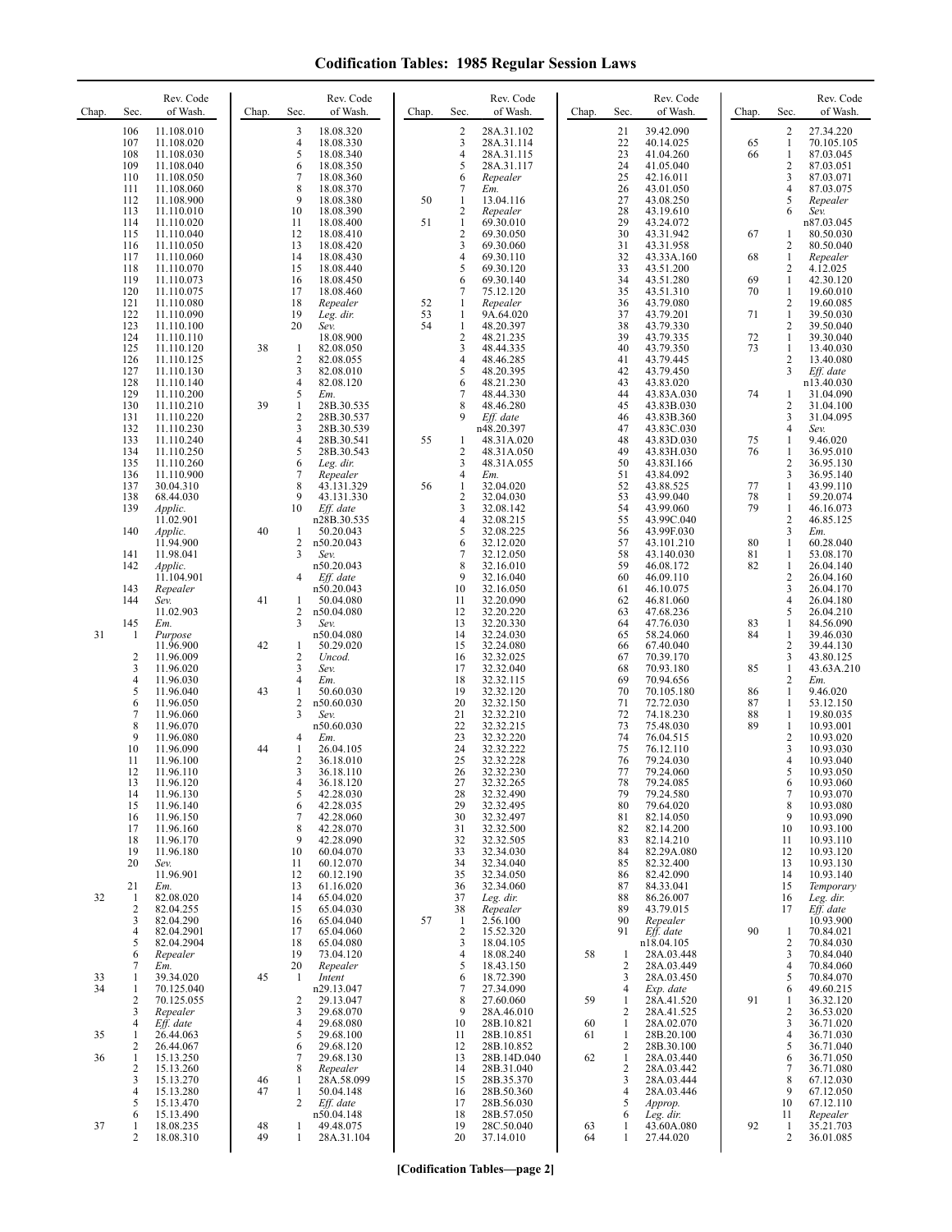| Chap.    | Sec.                                               | Rev. Code<br>of Wash.                                                                                | Chap.                | Rev. Code<br>of Wash.<br>Sec.                                                                                                                       | Chap.    | Sec.                                                                | Rev. Code<br>of Wash.                                                                                | Chap.          | Rev. Code<br>of Wash.<br>Sec.                                                                                                                         | Chap.                | Sec.                                                        | Rev. Code<br>of Wash.                                                                                |
|----------|----------------------------------------------------|------------------------------------------------------------------------------------------------------|----------------------|-----------------------------------------------------------------------------------------------------------------------------------------------------|----------|---------------------------------------------------------------------|------------------------------------------------------------------------------------------------------|----------------|-------------------------------------------------------------------------------------------------------------------------------------------------------|----------------------|-------------------------------------------------------------|------------------------------------------------------------------------------------------------------|
|          | 106<br>107<br>108<br>109<br>110<br>111             | 11.108.010<br>11.108.020<br>11.108.030<br>11.108.040<br>11.108.050<br>11.108.060                     |                      | 18.08.320<br>3<br>4<br>18.08.330<br>5<br>18.08.340<br>6<br>18.08.350<br>7<br>18.08.360<br>8<br>18.08.370                                            |          | $\overline{c}$<br>3<br>4<br>5<br>6<br>7                             | 28A.31.102<br>28A.31.114<br>28A.31.115<br>28A.31.117<br>Repealer<br>Em.                              |                | 21<br>39.42.090<br>22<br>40.14.025<br>23<br>41.04.260<br>24<br>41.05.040<br>25<br>42.16.011<br>26<br>43.01.050                                        | 65<br>66             | 2<br>$\mathbf{1}$<br>1<br>$\overline{\mathbf{c}}$<br>3<br>4 | 27.34.220<br>70.105.105<br>87.03.045<br>87.03.051<br>87.03.071<br>87.03.075                          |
|          | 112<br>113<br>114<br>115<br>116                    | 11.108.900<br>11.110.010<br>11.110.020<br>11.110.040<br>11.110.050                                   |                      | 9<br>18.08.380<br>10<br>18.08.390<br>11<br>18.08.400<br>12<br>18.08.410<br>13<br>18.08.420                                                          | 50<br>51 | 1<br>$\overline{\mathbf{c}}$<br>$\mathbf{1}$<br>$\overline{c}$<br>3 | 13.04.116<br>Repealer<br>69.30.010<br>69.30.050<br>69.30.060                                         |                | 27<br>43.08.250<br>28<br>43.19.610<br>29<br>43.24.072<br>30<br>43.31.942<br>31<br>43.31.958                                                           | 67                   | 5<br>6<br>1<br>2                                            | Repealer<br>Sev.<br>n87.03.045<br>80.50.030<br>80.50.040                                             |
|          | 117<br>118<br>119<br>120<br>121<br>122             | 11.110.060<br>11.110.070<br>11.110.073<br>11.110.075<br>11.110.080<br>11.110.090                     |                      | 14<br>18.08.430<br>15<br>18.08.440<br>16<br>18.08.450<br>17<br>18.08.460<br>18<br>Repealer<br>19<br>Leg. dir.                                       | 52<br>53 | 4<br>5<br>6<br>7<br>1<br>1                                          | 69.30.110<br>69.30.120<br>69.30.140<br>75.12.120<br>Repealer<br>9A.64.020                            |                | 32<br>43.33A.160<br>33<br>43.51.200<br>34<br>43.51.280<br>35<br>43.51.310<br>36<br>43.79.080<br>37<br>43.79.201                                       | 68<br>69<br>70<br>71 | $\mathbf{1}$<br>2<br>$\mathbf{1}$<br>1<br>2<br>$\mathbf{1}$ | Repealer<br>4.12.025<br>42.30.120<br>19.60.010<br>19.60.085<br>39.50.030                             |
|          | 123<br>124<br>125<br>126<br>127<br>128             | 11.110.100<br>11.110.110<br>11.110.120<br>11.110.125<br>11.110.130                                   | 38                   | 20<br>Sev.<br>18.08.900<br>82.08.050<br>1<br>2<br>82.08.055<br>3<br>82.08.010<br>4                                                                  | 54       | $\mathbf{1}$<br>$\overline{c}$<br>3<br>4<br>5<br>6                  | 48.20.397<br>48.21.235<br>48.44.335<br>48.46.285<br>48.20.395                                        |                | 38<br>43.79.330<br>39<br>43.79.335<br>40<br>43.79.350<br>41<br>43.79.445<br>42<br>43.79.450<br>43                                                     | 72<br>73             | 2<br>1<br>$\mathbf{1}$<br>2<br>3                            | 39.50.040<br>39.30.040<br>13.40.030<br>13.40.080<br>Eff. date                                        |
|          | 129<br>130<br>131<br>132<br>133                    | 11.110.140<br>11.110.200<br>11.110.210<br>11.110.220<br>11.110.230<br>11.110.240                     | 39                   | 82.08.120<br>5<br>Em.<br>$\mathbf{1}$<br>28B.30.535<br>$\mathbf{2}$<br>28B.30.537<br>3<br>28B.30.539<br>$\overline{4}$<br>28B.30.541                | 55       | 7<br>8<br>9<br>1                                                    | 48.21.230<br>48.44.330<br>48.46.280<br>Eff. date<br>n48.20.397<br>48.31A.020                         |                | 43.83.020<br>44<br>43.83A.030<br>45<br>43.83B.030<br>46<br>43.83B.360<br>47<br>43.83C.030<br>48<br>43.83D.030                                         | 74<br>75             | 1<br>2<br>3<br>4<br>$\mathbf{1}$                            | n13.40.030<br>31.04.090<br>31.04.100<br>31.04.095<br>Sev.<br>9.46.020                                |
|          | 134<br>135<br>136<br>137<br>138<br>139             | 11.110.250<br>11.110.260<br>11.110.900<br>30.04.310<br>68.44.030<br>Applic.                          |                      | 5<br>28B.30.543<br>6<br>Leg. dir.<br>7<br>Repealer<br>8<br>43.131.329<br>9<br>43.131.330<br>10<br>Eff. date                                         | 56       | 2<br>3<br>4<br>1<br>$\overline{c}$<br>3                             | 48.31A.050<br>48.31A.055<br>Em.<br>32.04.020<br>32.04.030<br>32.08.142                               |                | 49<br>43.83H.030<br>50<br>43.83I.166<br>51<br>43.84.092<br>52<br>43.88.525<br>53<br>43.99.040<br>54<br>43.99.060                                      | 76<br>77<br>78<br>79 | 1<br>2<br>3<br>$\mathbf{1}$<br>1<br>1                       | 36.95.010<br>36.95.130<br>36.95.140<br>43.99.110<br>59.20.074<br>46.16.073                           |
|          | 140<br>141<br>142                                  | 11.02.901<br>Applic.<br>11.94.900<br>11.98.041<br>Applic.                                            | 40                   | n28B.30.535<br>50.20.043<br>1<br>2<br>n50.20.043<br>3<br>Sev.<br>n50.20.043                                                                         |          | 4<br>5<br>6<br>7                                                    | 32.08.215<br>32.08.225<br>32.12.020<br>32.12.050<br>32.16.010                                        |                | 55<br>43.99C.040<br>56<br>43.99F.030<br>57<br>43.101.210<br>58<br>43.140.030<br>59<br>46.08.172                                                       | 80<br>81<br>82       | $\sqrt{2}$<br>3<br>$\mathbf{1}$<br>1<br>1                   | 46.85.125<br>Em.<br>60.28.040<br>53.08.170<br>26.04.140                                              |
| 31       | 143<br>144<br>145<br>1                             | 11.104.901<br>Repealer<br>Sev.<br>11.02.903<br>Em.<br>Purpose                                        | 41                   | 4<br>Eff. date<br>n50.20.043<br>50.04.080<br>1<br>2<br>n50.04.080<br>3<br>Sev.<br>n50.04.080                                                        |          | 9<br>10<br>11<br>12<br>13<br>14                                     | 32.16.040<br>32.16.050<br>32.20.090<br>32.20.220<br>32.20.330<br>32.24.030                           |                | 60<br>46.09.110<br>61<br>46.10.075<br>62<br>46.81.060<br>63<br>47.68.236<br>64<br>47.76.030<br>65<br>58.24.060                                        | 83<br>84             | 2<br>3<br>4<br>5<br>1<br>1                                  | 26.04.160<br>26.04.170<br>26.04.180<br>26.04.210<br>84.56.090<br>39.46.030                           |
|          | $\overline{\mathbf{c}}$<br>3<br>4<br>5             | 11.96.900<br>11.96.009<br>11.96.020<br>11.96.030<br>11.96.040                                        | 42<br>43             | 50.29.020<br>1<br>2<br>Uncod.<br>3<br>Sev.<br>4<br>Em.<br>1<br>50.60.030                                                                            |          | 15<br>16<br>17<br>18<br>19                                          | 32.24.080<br>32.32.025<br>32.32.040<br>32.32.115<br>32.32.120                                        |                | 66<br>67.40.040<br>67<br>70.39.170<br>68<br>70.93.180<br>69<br>70.94.656<br>70<br>70.105.180                                                          | 85<br>86             | $\overline{c}$<br>3<br>$\mathbf{1}$<br>2<br>1               | 39.44.130<br>43.80.125<br>43.63A.210<br>Em.<br>9.46.020                                              |
|          | 6<br>7<br>8<br>9<br>10<br>11                       | 11.96.050<br>11.96.060<br>11.96.070<br>11.96.080<br>11.96.090<br>11.96.100                           | 44                   | 2<br>n50.60.030<br>3<br>Sev.<br>n50.60.030<br>4<br>Em.<br>1<br>26.04.105<br>$\overline{2}$<br>36.18.010                                             |          | 20<br>21<br>22<br>23<br>24<br>25                                    | 32.32.150<br>32.32.210<br>32.32.215<br>32.32.220<br>32.32.222<br>32.32.228                           |                | 71<br>72.72.030<br>72<br>74.18.230<br>73<br>75.48.030<br>74<br>76.04.515<br>75<br>76.12.110<br>76<br>79.24.030                                        | 87<br>88<br>89       | 1<br>$\mathbf{1}$<br>$\mathbf{1}$<br>$\sqrt{2}$<br>3<br>4   | 53.12.150<br>19.80.035<br>10.93.001<br>10.93.020<br>10.93.030<br>10.93.040                           |
|          | 12<br>13<br>14<br>15<br>16<br>17<br>18<br>19<br>20 | 11.96.110<br>11.96.120<br>11.96.130<br>11.96.140<br>11.96.150<br>11.96.160<br>11.96.170<br>11.96.180 |                      | 3<br>36.18.110<br>4<br>36.18.120<br>5<br>42.28.030<br>6<br>42.28.035<br>7<br>42.28.060<br>8<br>42.28.070<br>9<br>42.28.090<br>10<br>60.04.070<br>11 |          | 26<br>27<br>28<br>29<br>30<br>31<br>32<br>33<br>34                  | 32.32.230<br>32.32.265<br>32.32.490<br>32.32.495<br>32.32.497<br>32.32.500<br>32.32.505<br>32.34.030 |                | 77<br>79.24.060<br>78<br>79.24.085<br>79<br>79.24.580<br>80<br>79.64.020<br>82.14.050<br>81<br>82.14.200<br>82<br>82.14.210<br>83<br>82.29A.080<br>84 |                      | 5<br>6<br>7<br>8<br>9<br>10<br>11<br>12<br>13               | 10.93.050<br>10.93.060<br>10.93.070<br>10.93.080<br>10.93.090<br>10.93.100<br>10.93.110<br>10.93.120 |
| 32       | 21<br>1<br>2<br>3<br>4                             | Sev.<br>11.96.901<br>Em.<br>82.08.020<br>82.04.255<br>82.04.290<br>82.04.2901                        |                      | 60.12.070<br>12<br>60.12.190<br>13<br>61.16.020<br>65.04.020<br>14<br>15<br>65.04.030<br>16<br>65.04.040<br>17<br>65.04.060                         | 57       | 35<br>36<br>37<br>38<br>$\mathbf{1}$<br>$\sqrt{2}$                  | 32.34.040<br>32.34.050<br>32.34.060<br>Leg. dir.<br>Repealer<br>2.56.100<br>15.52.320                |                | 82.32.400<br>85<br>82.42.090<br>86<br>84.33.041<br>87<br>86.26.007<br>88<br>43.79.015<br>89<br>90<br>Repealer<br>91<br>Eff. date                      | 90                   | 14<br>15<br>16<br>17<br>1                                   | 10.93.130<br>10.93.140<br>Temporary<br>Leg. dir.<br>Eff. date<br>10.93.900<br>70.84.021              |
| 33<br>34 | 5<br>6<br>7<br>1<br>1<br>2                         | 82.04.2904<br>Repealer<br>Em.<br>39.34.020<br>70.125.040<br>70.125.055                               | 45                   | 65.04.080<br>18<br>19<br>73.04.120<br>20<br>Repealer<br>Intent<br>-1<br>n29.13.047<br>29.13.047<br>2                                                |          | 3<br>4<br>5<br>6<br>7<br>8                                          | 18.04.105<br>18.08.240<br>18.43.150<br>18.72.390<br>27.34.090<br>27.60.060                           | 58<br>59       | n18.04.105<br>28A.03.448<br>1<br>$\overline{2}$<br>28A.03.449<br>28A.03.450<br>3<br>$\overline{4}$<br>Exp. date<br>28A.41.520<br>$\mathbf{1}$         | 91                   | 2<br>3<br>$\overline{4}$<br>5<br>6<br>1                     | 70.84.030<br>70.84.040<br>70.84.060<br>70.84.070<br>49.60.215<br>36.32.120                           |
| 35<br>36 | 3<br>4<br>1<br>$\overline{c}$<br>1<br>2            | Repealer<br>Eff. date<br>26.44.063<br>26.44.067<br>15.13.250<br>15.13.260                            |                      | 3<br>29.68.070<br>29.68.080<br>4<br>5<br>29.68.100<br>29.68.120<br>6<br>7<br>29.68.130<br>8<br>Repealer                                             |          | 9<br>10<br>11<br>12<br>13<br>14                                     | 28A.46.010<br>28B.10.821<br>28B.10.851<br>28B.10.852<br>28B.14D.040<br>28B.31.040                    | 60<br>61<br>62 | $\overline{2}$<br>28A.41.525<br>28A.02.070<br>1<br>28B.20.100<br>1<br>$\overline{2}$<br>28B.30.100<br>28A.03.440<br>1<br>$\overline{2}$<br>28A.03.442 |                      | 2<br>3<br>4<br>5<br>6<br>7                                  | 36.53.020<br>36.71.020<br>36.71.030<br>36.71.040<br>36.71.050<br>36.71.080                           |
| 37       | 3<br>4<br>5<br>6<br>1<br>$\overline{c}$            | 15.13.270<br>15.13.280<br>15.13.470<br>15.13.490<br>18.08.235<br>18.08.310                           | 46<br>47<br>48<br>49 | 28A.58.099<br>1<br>1<br>50.04.148<br>2<br>Eff. date<br>n50.04.148<br>49.48.075<br>1<br>$\mathbf{1}$<br>28A.31.104                                   |          | 15<br>16<br>17<br>18<br>19<br>20                                    | 28B.35.370<br>28B.50.360<br>28B.56.030<br>28B.57.050<br>28C.50.040<br>37.14.010                      | 63<br>64       | 3<br>28A.03.444<br>28A.03.446<br>$\overline{4}$<br>5<br>Approp.<br>6<br>Leg. dir.<br>43.60A.080<br>1<br>27.44.020<br>1                                | 92                   | 8<br>9<br>10<br>11<br>1<br>2                                | 67.12.030<br>67.12.050<br>67.12.110<br>Repealer<br>35.21.703<br>36.01.085                            |

**[Codification Tables—page 2]**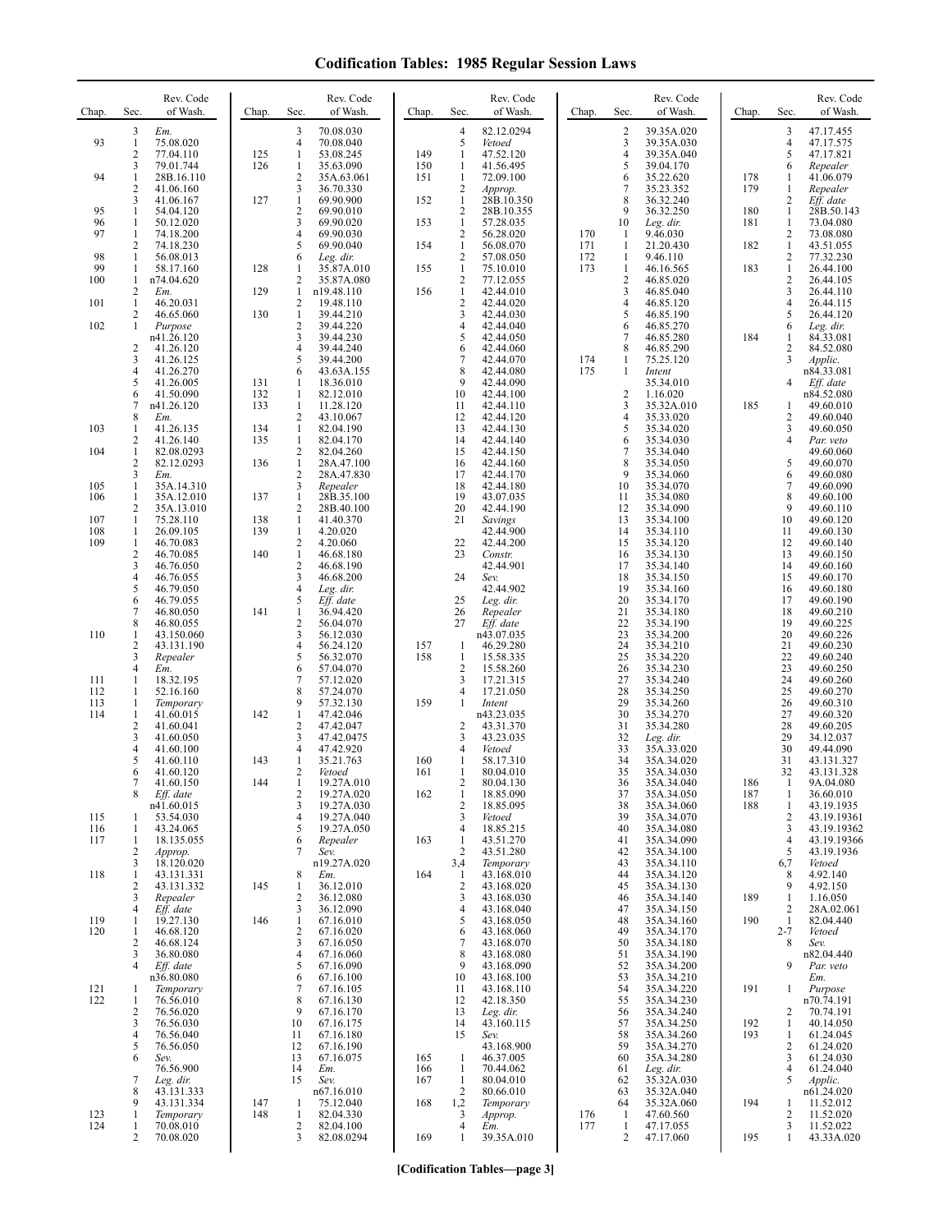| Chap.      | Sec.                           | Rev. Code<br>of Wash.    | Chap.      | Rev. Code<br>of Wash.<br>Sec.                            | Chap.      | Sec.                           | Rev. Code<br>of Wash.    | Chap.      | Sec.                         | Rev. Code<br>of Wash.    | Chap.      | Sec.                             | Rev. Code<br>of Wash.      |
|------------|--------------------------------|--------------------------|------------|----------------------------------------------------------|------------|--------------------------------|--------------------------|------------|------------------------------|--------------------------|------------|----------------------------------|----------------------------|
| 93         | 3<br>$\mathbf{1}$              | Em.<br>75.08.020         |            | 70.08.030<br>3<br>$\overline{4}$<br>70.08.040            |            | $\overline{4}$<br>5            | 82.12.0294<br>Vetoed     |            | $\overline{\mathbf{c}}$<br>3 | 39.35A.020<br>39.35A.030 |            | 3<br>$\overline{4}$              | 47.17.455<br>47.17.575     |
|            | $\overline{2}$                 | 77.04.110                | 125        | 1<br>53.08.245                                           | 149        | 1                              | 47.52.120                |            | $\overline{4}$               | 39.35A.040               |            | 5                                | 47.17.821                  |
| 94         | 3<br>1                         | 79.01.744<br>28B.16.110  | 126        | 1<br>35.63.090<br>2<br>35A.63.061                        | 150<br>151 | 1<br>$\mathbf{1}$              | 41.56.495<br>72.09.100   |            | 5<br>6                       | 39.04.170<br>35.22.620   | 178        | 6<br>1                           | Repealer<br>41.06.079      |
|            | 2                              | 41.06.160                |            | 3<br>36.70.330<br>$\mathbf{1}$                           |            | $\overline{c}$<br>$\mathbf{1}$ | Approp.                  |            | $\overline{7}$<br>8          | 35.23.352                | 179        | 1                                | Repealer                   |
| 95         | 3<br>1                         | 41.06.167<br>54.04.120   | 127        | 69.90.900<br>2<br>69.90.010                              | 152        | 2                              | 28B.10.350<br>28B.10.355 |            | 9                            | 36.32.240<br>36.32.250   | 180        | 2<br>$\mathbf{1}$                | Eff. date<br>28B.50.143    |
| 96<br>97   | $\mathbf{1}$<br>1              | 50.12.020<br>74.18.200   |            | 3<br>69.90.020<br>4<br>69.90.030                         | 153        | $\mathbf{1}$<br>$\overline{c}$ | 57.28.035<br>56.28.020   | 170        | 10<br>1                      | Leg. dir.<br>9.46.030    | 181        | $\mathbf{1}$<br>2                | 73.04.080<br>73.08.080     |
|            | $\overline{2}$                 | 74.18.230                |            | 5<br>69.90.040                                           | 154        | $\mathbf{1}$                   | 56.08.070                | 171        | $\mathbf{1}$                 | 21.20.430                | 182        | $\mathbf{1}$                     | 43.51.055                  |
| 98<br>99   | $\mathbf{1}$<br>1              | 56.08.013<br>58.17.160   | 128        | 6<br>Leg. dir.<br>35.87A.010<br>1                        | 155        | $\overline{2}$<br>$\mathbf{1}$ | 57.08.050<br>75.10.010   | 172<br>173 | 1<br>1                       | 9.46.110<br>46.16.565    | 183        | 2<br>$\mathbf{1}$                | 77.32.230<br>26.44.100     |
| 100        | 1<br>2                         | n74.04.620<br>Em.        | 129        | 2<br>35.87A.080<br>1<br>n19.48.110                       | 156        | $\overline{c}$<br>$\mathbf{1}$ | 77.12.055<br>42.44.010   |            | $\overline{c}$<br>3          | 46.85.020<br>46.85.040   |            | 2<br>3                           | 26.44.105<br>26.44.110     |
| 101        | $\mathbf{1}$                   | 46.20.031                |            | $\overline{c}$<br>19.48.110                              |            | $\overline{2}$                 | 42.44.020                |            | $\overline{4}$               | 46.85.120                |            | 4                                | 26.44.115                  |
| 102        | 2<br>1                         | 46.65.060<br>Purpose     | 130        | 1<br>39.44.210<br>2<br>39.44.220                         |            | 3<br>$\overline{4}$            | 42.44.030<br>42.44.040   |            | 5<br>6                       | 46.85.190<br>46.85.270   |            | 5<br>6                           | 26.44.120<br>Leg. dir.     |
|            | 2                              | n41.26.120<br>41.26.120  |            | 3<br>39.44.230<br>4<br>39.44.240                         |            | 5<br>6                         | 42.44.050<br>42.44.060   |            | 7<br>8                       | 46.85.280<br>46.85.290   | 184        | 1<br>2                           | 84.33.081<br>84.52.080     |
|            | 3                              | 41.26.125                |            | 5<br>39.44.200                                           |            | 7                              | 42.44.070                | 174        | -1                           | 75.25.120                |            | 3                                | Applic.                    |
|            | 4<br>5                         | 41.26.270<br>41.26.005   | 131        | 43.63A.155<br>6<br>18.36.010<br>-1                       |            | 8<br>9                         | 42.44.080<br>42.44.090   | 175        | -1                           | Intent<br>35.34.010      |            | 4                                | n84.33.081<br>Eff. date    |
|            | 6                              | 41.50.090                | 132        | 82.12.010<br>1                                           |            | 10                             | 42.44.100                |            | $\overline{c}$               | 1.16.020                 |            |                                  | n84.52.080                 |
|            | 7<br>8                         | n41.26.120<br>Em.        | 133        | $\mathbf{1}$<br>11.28.120<br>2<br>43.10.067              |            | 11<br>12                       | 42.44.110<br>42.44.120   |            | 3<br>4                       | 35.32A.010<br>35.33.020  | 185        | 1<br>2                           | 49.60.010<br>49.60.040     |
| 103        | 1<br>2                         | 41.26.135<br>41.26.140   | 134<br>135 | $\mathbf{1}$<br>82.04.190<br>1<br>82.04.170              |            | 13<br>14                       | 42.44.130<br>42.44.140   |            | 5<br>6                       | 35.34.020<br>35.34.030   |            | 3<br>4                           | 49.60.050<br>Par. veto     |
| 104        | $\mathbf{1}$                   | 82.08.0293               |            | 2<br>82.04.260                                           |            | 15                             | 42.44.150                |            | $\tau$                       | 35.34.040                |            |                                  | 49.60.060                  |
|            | $\overline{2}$<br>3            | 82.12.0293<br>Em.        | 136        | 1<br>28A.47.100<br>$\overline{2}$<br>28A.47.830          |            | 16<br>17                       | 42.44.160<br>42.44.170   |            | 8<br>9                       | 35.34.050<br>35.34.060   |            | 5<br>6                           | 49.60.070<br>49.60.080     |
| 105<br>106 | $\mathbf{1}$<br>1              | 35A.14.310<br>35A.12.010 | 137        | 3<br>Repealer<br>28B.35.100<br>$\mathbf{1}$              |            | 18<br>19                       | 42.44.180<br>43.07.035   |            | 10<br>11                     | 35.34.070<br>35.34.080   |            | 7<br>8                           | 49.60.090<br>49.60.100     |
|            | 2                              | 35A.13.010               |            | 2<br>28B.40.100                                          |            | 20                             | 42.44.190                |            | 12                           | 35.34.090                |            | 9                                | 49.60.110                  |
| 107<br>108 | 1<br>$\mathbf{1}$              | 75.28.110<br>26.09.105   | 138<br>139 | $\mathbf{1}$<br>41.40.370<br>$\mathbf{1}$<br>4.20.020    |            | 21                             | Savings<br>42.44.900     |            | 13<br>14                     | 35.34.100<br>35.34.110   |            | 10<br>11                         | 49.60.120<br>49.60.130     |
| 109        | $\mathbf{1}$<br>$\sqrt{2}$     | 46.70.083<br>46.70.085   | 140        | $\sqrt{2}$<br>4.20.060<br>$\mathbf{1}$<br>46.68.180      |            | 22<br>23                       | 42.44.200<br>Constr.     |            | 15<br>16                     | 35.34.120<br>35.34.130   |            | 12<br>13                         | 49.60.140<br>49.60.150     |
|            | 3                              | 46.76.050                |            | 2<br>46.68.190                                           |            |                                | 42.44.901                |            | 17                           | 35.34.140                |            | 14                               | 49.60.160                  |
|            | 4<br>5                         | 46.76.055<br>46.79.050   |            | 3<br>46.68.200<br>4<br>Leg. dir.                         |            | 24                             | Sev.<br>42.44.902        |            | 18<br>19                     | 35.34.150<br>35.34.160   |            | 15<br>16                         | 49.60.170<br>49.60.180     |
|            | 6<br>7                         | 46.79.055<br>46.80.050   | 141        | Eff. date<br>5<br>1<br>36.94.420                         |            | 25<br>26                       | Leg. dir.<br>Repealer    |            | 20<br>21                     | 35.34.170<br>35.34.180   |            | 17<br>18                         | 49.60.190<br>49.60.210     |
|            | 8                              | 46.80.055                |            | 2<br>56.04.070                                           |            | 27                             | Eff. date                |            | 22                           | 35.34.190                |            | 19                               | 49.60.225                  |
| 110        | 1<br>2                         | 43.150.060<br>43.131.190 |            | 3<br>56.12.030<br>4<br>56.24.120                         | 157        | 1                              | n43.07.035<br>46.29.280  |            | 23<br>24                     | 35.34.200<br>35.34.210   |            | 20<br>21                         | 49.60.226<br>49.60.230     |
|            | 3<br>4                         | Repealer<br>Em.          |            | 5<br>56.32.070<br>57.04.070<br>6                         | 158        | 1<br>$\overline{2}$            | 15.58.335<br>15.58.260   |            | 25<br>26                     | 35.34.220<br>35.34.230   |            | 22<br>23                         | 49.60.240<br>49.60.250     |
| 111        | 1                              | 18.32.195                |            | 7<br>57.12.020                                           |            | 3                              | 17.21.315                |            | 27                           | 35.34.240                |            | 24                               | 49.60.260                  |
| 112<br>113 | 1<br>1                         | 52.16.160<br>Temporary   |            | 8<br>57.24.070<br>57.32.130<br>9                         | 159        | 4<br>1                         | 17.21.050<br>Intent      |            | 28<br>29                     | 35.34.250<br>35.34.260   |            | 25<br>26                         | 49.60.270<br>49.60.310     |
| 114        | 1<br>2                         | 41.60.015<br>41.60.041   | 142        | 1<br>47.42.046<br>2<br>47.42.047                         |            | $\overline{2}$                 | n43.23.035<br>43.31.370  |            | 30<br>31                     | 35.34.270<br>35.34.280   |            | 27<br>28                         | 49.60.320<br>49.60.205     |
|            | 3                              | 41.60.050                |            | 3<br>47.42.0475                                          |            | 3                              | 43.23.035                |            | 32                           | Leg. dir.                |            | 29                               | 34.12.037                  |
|            | 4<br>5                         | 41.60.100<br>41.60.110   | 143        | 4<br>47.42.920<br>35.21.763                              | 160        | 4<br>1                         | Vetoed<br>58.17.310      |            | 33<br>34                     | 35A.33.020<br>35A.34.020 |            | 30<br>31                         | 49.44.090<br>43.131.327    |
|            | 6                              | 41.60.120<br>41.60.150   | 144        | 2<br>Vetoed<br>19.27A.010                                | 161        | 1<br>2                         | 80.04.010<br>80.04.130   |            | 35<br>36                     | 35A.34.030<br>35A.34.040 | 186        | 32                               | 43.131.328<br>9A.04.080    |
|            | 8                              | Eff. date                |            | 2<br>19.27A.020                                          | 162        | $\mathbf{1}$                   | 18.85.090                |            | 37                           | 35A.34.050               | 187        | 1                                | 36.60.010                  |
| 115        | -1                             | n41.60.015<br>53.54.030  |            | 3<br>19.27A.030<br>4<br>19.27A.040                       |            | $\overline{c}$<br>3            | 18.85.095<br>Vetoed      |            | 38<br>39                     | 35A.34.060<br>35A.34.070 | 188        | 1<br>2                           | 43.19.1935<br>43.19.19361  |
| 116<br>117 | 1<br>1                         | 43.24.065<br>18.135.055  |            | 5<br>19.27A.050<br>6<br>Repealer                         | 163        | $\overline{4}$<br>$\mathbf{1}$ | 18.85.215<br>43.51.270   |            | 40<br>41                     | 35A.34.080<br>35A.34.090 |            | 3<br>$\overline{4}$              | 43.19.19362<br>43.19.19366 |
|            | 2                              | Approp.                  |            | 7<br>Sev.                                                |            | $\overline{c}$                 | 43.51.280                |            | 42                           | 35A.34.100               |            | 5                                | 43.19.1936                 |
| 118        | 3<br>1                         | 18.120.020<br>43.131.331 |            | n19.27A.020<br>8<br>Em.                                  | 164        | 3,4<br>1                       | Temporary<br>43.168.010  |            | 43<br>44                     | 35A.34.110<br>35A.34.120 |            | 6,7<br>8                         | Vetoed<br>4.92.140         |
|            | 2<br>3                         | 43.131.332<br>Repealer   | 145        | $\mathbf{1}$<br>36.12.010<br>2<br>36.12.080              |            | $\sqrt{2}$<br>3                | 43.168.020<br>43.168.030 |            | 45<br>46                     | 35A.34.130<br>35A.34.140 | 189        | 9<br>1                           | 4.92.150<br>1.16.050       |
|            | 4                              | Eff. date                |            | 36.12.090<br>3                                           |            | $\overline{4}$                 | 43.168.040               |            | 47                           | 35A.34.150               |            | $\overline{2}$                   | 28A.02.061                 |
| 119<br>120 | -1<br>1                        | 19.27.130<br>46.68.120   | 146        | $\mathbf{1}$<br>67.16.010<br>$\overline{2}$<br>67.16.020 |            | 5<br>6                         | 43.168.050<br>43.168.060 |            | 48<br>49                     | 35A.34.160<br>35A.34.170 | 190        | $\mathbf{1}$<br>$2 - 7$          | 82.04.440<br>Vetoed        |
|            | 2<br>3                         | 46.68.124<br>36.80.080   |            | 3<br>67.16.050<br>67.16.060<br>4                         |            | 7<br>8                         | 43.168.070<br>43.168.080 |            | 50<br>51                     | 35A.34.180<br>35A.34.190 |            | 8                                | Sev.<br>n82.04.440         |
|            | 4                              | Eff. date                |            | 5<br>67.16.090                                           |            | 9                              | 43.168.090               |            | 52                           | 35A.34.200               |            | 9                                | Par. veto                  |
| 121        | -1                             | n36.80.080<br>Temporary  |            | 6<br>67.16.100<br>67.16.105<br>7                         |            | 10<br>11                       | 43.168.100<br>43.168.110 |            | 53<br>54                     | 35A.34.210<br>35A.34.220 | 191        | 1                                | Em.<br>Purpose             |
| 122        | $\mathbf{1}$<br>$\overline{2}$ | 76.56.010<br>76.56.020   |            | 8<br>67.16.130<br>9<br>67.16.170                         |            | 12<br>13                       | 42.18.350<br>Leg. dir.   |            | 55<br>56                     | 35A.34.230<br>35A.34.240 |            | 2                                | n70.74.191<br>70.74.191    |
|            | 3                              | 76.56.030                |            | 10<br>67.16.175                                          |            | 14                             | 43.160.115               |            | 57                           | 35A.34.250               | 192<br>193 | 1                                | 40.14.050                  |
|            | 4<br>5                         | 76.56.040<br>76.56.050   |            | 11<br>67.16.180<br>12<br>67.16.190                       |            | 15                             | Sev.<br>43.168.900       |            | 58<br>59                     | 35A.34.260<br>35A.34.270 |            | 1<br>2                           | 61.24.045<br>61.24.020     |
|            | 6                              | Sev.<br>76.56.900        |            | 13<br>67.16.075<br>14<br>Em.                             | 165<br>166 | $\mathbf{1}$<br>$\mathbf{1}$   | 46.37.005<br>70.44.062   |            | 60<br>61                     | 35A.34.280<br>Leg. dir.  |            | 3<br>$\overline{4}$              | 61.24.030<br>61.24.040     |
|            | $\overline{7}$                 | Leg. dir.                |            | 15<br>Sev.                                               | 167        | $\mathbf{1}$                   | 80.04.010                |            | 62                           | 35.32A.030               |            | 5                                | Applic.                    |
|            | 8<br>9                         | 43.131.333<br>43.131.334 | 147        | n67.16.010<br>75.12.040<br>-1                            | 168        | $\sqrt{2}$<br>1,2              | 80.66.010<br>Temporary   |            | 63<br>64                     | 35.32A.040<br>35.32A.060 | 194        | 1                                | n61.24.020<br>11.52.012    |
| 123<br>124 | 1<br>1                         | Temporary<br>70.08.010   | 148        | 82.04.330<br>1<br>2<br>82.04.100                         |            | 3<br>$\overline{4}$            | Approp.<br>Em.           | 176<br>177 | 1<br>1                       | 47.60.560<br>47.17.055   |            | $\overline{c}$<br>$\mathfrak{Z}$ | 11.52.020<br>11.52.022     |
|            | 2                              | 70.08.020                |            | 3<br>82.08.0294                                          | 169        | $\mathbf{1}$                   | 39.35A.010               |            | 2                            | 47.17.060                | 195        | 1                                | 43.33A.020                 |

**[Codification Tables—page 3]**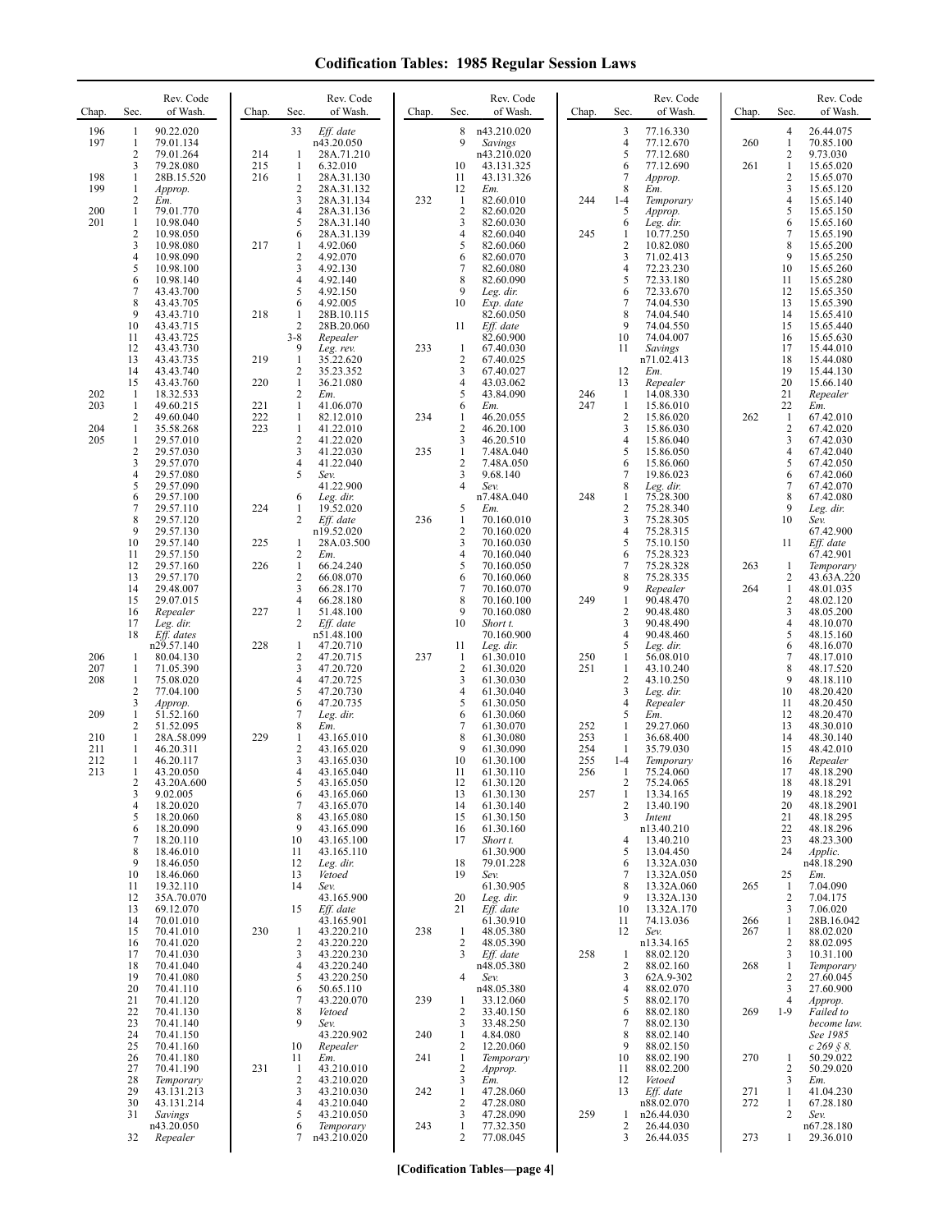| Chap.                           | Sec.                                               | Rev. Code<br>of Wash.                                                                                                                      | Chap.             | Rev. Code<br>of Wash.<br>Sec.                                                                                                                                                                                           | Chap.      | Sec.                                                                     | Rev. Code<br>of Wash.                                                                                                                       | Chap.                                  | Sec.                                                            | Rev. Code<br>of Wash.                                                                                                                | Chap.             | Sec.                                                     | Rev. Code<br>of Wash.                                                                                                          |
|---------------------------------|----------------------------------------------------|--------------------------------------------------------------------------------------------------------------------------------------------|-------------------|-------------------------------------------------------------------------------------------------------------------------------------------------------------------------------------------------------------------------|------------|--------------------------------------------------------------------------|---------------------------------------------------------------------------------------------------------------------------------------------|----------------------------------------|-----------------------------------------------------------------|--------------------------------------------------------------------------------------------------------------------------------------|-------------------|----------------------------------------------------------|--------------------------------------------------------------------------------------------------------------------------------|
| 196<br>197                      | 1<br>$\mathbf{1}$<br>2<br>3                        | 90.22.020<br>79.01.134<br>79.01.264<br>79.28.080                                                                                           | 214<br>215        | 33<br>Eff. date<br>n43.20.050<br>28A.71.210<br>1<br>1<br>6.32.010                                                                                                                                                       |            | 8<br>9<br>10                                                             | n43.210.020<br>Savings<br>n43.210.020<br>43.131.325                                                                                         |                                        | 3<br>4<br>5<br>6                                                | 77.16.330<br>77.12.670<br>77.12.680<br>77.12.690                                                                                     | 260<br>261        | 4<br>$\mathbf{1}$<br>$\mathbf{2}$<br>$\mathbf{1}$        | 26.44.075<br>70.85.100<br>9.73.030<br>15.65.020                                                                                |
| 198<br>199                      | $\mathbf{1}$<br>1<br>2                             | 28B.15.520<br>Approp.<br>Em.                                                                                                               | 216               | $\mathbf{1}$<br>28A.31.130<br>$\overline{2}$<br>28A.31.132<br>3<br>28A.31.134                                                                                                                                           | 232        | 11<br>12<br>$\mathbf{1}$                                                 | 43.131.326<br>Em.<br>82.60.010                                                                                                              | 244                                    | 7<br>8<br>$1 - 4$                                               | Approp.<br>Em.<br>Temporary                                                                                                          |                   | $\mathbf{2}$<br>3<br>4                                   | 15.65.070<br>15.65.120<br>15.65.140                                                                                            |
| 200<br>201                      | 1<br>$\mathbf{1}$<br>$\overline{c}$<br>3<br>4<br>5 | 79.01.770<br>10.98.040<br>10.98.050<br>10.98.080<br>10.98.090<br>10.98.100                                                                 | 217               | 4<br>28A.31.136<br>5<br>28A.31.140<br>6<br>28A.31.139<br>4.92.060<br>1<br>$\overline{2}$<br>4.92.070<br>3<br>4.92.130                                                                                                   |            | $\sqrt{2}$<br>3<br>$\overline{4}$<br>5<br>6<br>7                         | 82.60.020<br>82.60.030<br>82.60.040<br>82.60.060<br>82.60.070<br>82.60.080                                                                  | 245                                    | 5<br>6<br>$\mathbf{1}$<br>$\overline{c}$<br>3<br>4              | Approp.<br>Leg. dir.<br>10.77.250<br>10.82.080<br>71.02.413<br>72.23.230                                                             |                   | 5<br>6<br>$\tau$<br>8<br>9<br>10                         | 15.65.150<br>15.65.160<br>15.65.190<br>15.65.200<br>15.65.250<br>15.65.260                                                     |
|                                 | 6<br>$\overline{7}$<br>8<br>9<br>10<br>11          | 10.98.140<br>43.43.700<br>43.43.705<br>43.43.710<br>43.43.715<br>43.43.725                                                                 | 218               | $\overline{4}$<br>4.92.140<br>5<br>4.92.150<br>6<br>4.92.005<br>1<br>28B.10.115<br>$\overline{2}$<br>28B.20.060<br>$3 - 8$<br>Repealer                                                                                  |            | 8<br>9<br>10<br>11                                                       | 82.60.090<br>Leg. dir.<br>Exp. date<br>82.60.050<br>Eff. date<br>82.60.900                                                                  |                                        | 5<br>6<br>7<br>8<br>9<br>10                                     | 72.33.180<br>72.33.670<br>74.04.530<br>74.04.540<br>74.04.550<br>74.04.007                                                           |                   | 11<br>12<br>13<br>14<br>15<br>16                         | 15.65.280<br>15.65.350<br>15.65.390<br>15.65.410<br>15.65.440<br>15.65.630                                                     |
|                                 | 12<br>13                                           | 43.43.730<br>43.43.735                                                                                                                     | 219               | 9<br>Leg. rev.<br>$\mathbf{1}$<br>35.22.620                                                                                                                                                                             | 233        | $\mathbf{1}$<br>$\overline{2}$                                           | 67.40.030<br>67.40.025                                                                                                                      |                                        | 11                                                              | Savings<br>n71.02.413                                                                                                                |                   | 17<br>18                                                 | 15.44.010<br>15.44.080                                                                                                         |
| 202                             | 14<br>15<br>-1                                     | 43.43.740<br>43.43.760<br>18.32.533                                                                                                        | 220               | $\overline{2}$<br>35.23.352<br>1<br>36.21.080<br>$\overline{2}$<br>Em.                                                                                                                                                  |            | 3<br>$\overline{4}$<br>5                                                 | 67.40.027<br>43.03.062<br>43.84.090                                                                                                         | 246                                    | 12<br>13<br>$\mathbf{1}$                                        | Em.<br>Repealer<br>14.08.330                                                                                                         |                   | 19<br>20<br>21                                           | 15.44.130<br>15.66.140<br>Repealer                                                                                             |
| 203<br>204                      | -1<br>2<br>$\mathbf{1}$                            | 49.60.215<br>49.60.040<br>35.58.268                                                                                                        | 221<br>222<br>223 | $\mathbf{1}$<br>41.06.070<br>$\mathbf{1}$<br>82.12.010<br>1<br>41.22.010                                                                                                                                                | 234        | 6<br>$\mathbf{1}$<br>$\overline{\mathbf{c}}$                             | Em.<br>46.20.055<br>46.20.100                                                                                                               | 247                                    | $\mathbf{1}$<br>$\overline{c}$<br>3                             | 15.86.010<br>15.86.020<br>15.86.030                                                                                                  | 262               | 22<br>$\mathbf{1}$<br>2                                  | Em.<br>67.42.010<br>67.42.020                                                                                                  |
| 205                             | 1<br>$\overline{c}$<br>3<br>4<br>5                 | 29.57.010<br>29.57.030<br>29.57.070<br>29.57.080<br>29.57.090                                                                              |                   | $\overline{2}$<br>41.22.020<br>3<br>41.22.030<br>4<br>41.22.040<br>5<br>Sev.<br>41.22.900                                                                                                                               | 235        | 3<br>$\mathbf{1}$<br>$\overline{2}$<br>3<br>4                            | 46.20.510<br>7.48A.040<br>7.48A.050<br>9.68.140<br>Sev.                                                                                     |                                        | 4<br>5<br>6<br>$\boldsymbol{7}$<br>8                            | 15.86.040<br>15.86.050<br>15.86.060<br>19.86.023<br>Leg. dir.                                                                        |                   | 3<br>$\overline{4}$<br>5<br>6<br>$\overline{7}$          | 67.42.030<br>67.42.040<br>67.42.050<br>67.42.060<br>67.42.070                                                                  |
|                                 | 6<br>7<br>8<br>9                                   | 29.57.100<br>29.57.110<br>29.57.120<br>29.57.130                                                                                           | 224               | 6<br>Leg. dir.<br>1<br>19.52.020<br>$\overline{2}$<br>Eff. date<br>n19.52.020                                                                                                                                           | 236        | 5<br>1<br>$\overline{\mathbf{c}}$                                        | n7.48A.040<br>Em.<br>70.160.010<br>70.160.020                                                                                               | 248                                    | $\mathbf{1}$<br>$\overline{c}$<br>3<br>$\overline{4}$           | 75.28.300<br>75.28.340<br>75.28.305<br>75.28.315                                                                                     |                   | 8<br>9<br>10                                             | 67.42.080<br>Leg. dir.<br>Sev.<br>67.42.900                                                                                    |
|                                 | 10<br>11                                           | 29.57.140<br>29.57.150                                                                                                                     | 225               | 28A.03.500<br>1<br>$\sqrt{2}$<br>Em.                                                                                                                                                                                    |            | 3<br>$\overline{4}$                                                      | 70.160.030<br>70.160.040                                                                                                                    |                                        | 5<br>6                                                          | 75.10.150<br>75.28.323                                                                                                               |                   | 11                                                       | Eff. date<br>67.42.901                                                                                                         |
|                                 | 12<br>13<br>14<br>15                               | 29.57.160<br>29.57.170<br>29.48.007<br>29.07.015                                                                                           | 226               | $\mathbf{1}$<br>66.24.240<br>$\sqrt{2}$<br>66.08.070<br>$\overline{\mathbf{3}}$<br>66.28.170<br>$\overline{4}$<br>66.28.180<br>1                                                                                        |            | 5<br>6<br>7<br>8<br>9                                                    | 70.160.050<br>70.160.060<br>70.160.070<br>70.160.100                                                                                        | 249                                    | 7<br>8<br>9<br>$\mathbf{1}$<br>$\overline{c}$                   | 75.28.328<br>75.28.335<br>Repealer<br>90.48.470                                                                                      | 263<br>264        | 1<br>2<br>$\mathbf{1}$<br>$\overline{c}$<br>3            | Temporary<br>43.63A.220<br>48.01.035<br>48.02.120                                                                              |
|                                 | 16<br>17<br>18                                     | Repealer<br>Leg. dir.<br>Eff. dates                                                                                                        | 227               | 51.48.100<br>$\overline{2}$<br>Eff. date<br>n51.48.100                                                                                                                                                                  |            | 10                                                                       | 70.160.080<br>Short t.<br>70.160.900                                                                                                        |                                        | 3<br>$\overline{4}$                                             | 90.48.480<br>90.48.490<br>90.48.460                                                                                                  |                   | 4<br>5                                                   | 48.05.200<br>48.10.070<br>48.15.160                                                                                            |
| 206<br>207<br>208               | 1<br>1<br>1<br>2                                   | n29.57.140<br>80.04.130<br>71.05.390<br>75.08.020                                                                                          | 228               | 1<br>47.20.710<br>$\sqrt{2}$<br>47.20.715<br>3<br>47.20.720<br>$\overline{4}$<br>47.20.725<br>5                                                                                                                         | 237        | 11<br>$\mathbf{1}$<br>$\overline{c}$<br>$\mathfrak{Z}$<br>$\overline{4}$ | Leg. dir.<br>61.30.010<br>61.30.020<br>61.30.030                                                                                            | 250<br>251                             | 5<br>1<br>1<br>$\overline{c}$<br>3                              | Leg. dir.<br>56.08.010<br>43.10.240<br>43.10.250                                                                                     |                   | 6<br>7<br>8<br>9<br>10                                   | 48.16.070<br>48.17.010<br>48.17.520<br>48.18.110<br>48.20.420                                                                  |
| 209<br>210<br>211<br>212<br>213 | 3<br>1<br>2<br>1<br>1<br>1<br>1<br>2<br>3<br>4     | 77.04.100<br>Approp.<br>51.52.160<br>51.52.095<br>28A.58.099<br>46.20.311<br>46.20.117<br>43.20.050<br>43.20A.600<br>9.02.005<br>18.20.020 | 229               | 47.20.730<br>6<br>47.20.735<br>7<br>Leg. dir.<br>8<br>Em.<br>1<br>43.165.010<br>$\overline{2}$<br>43.165.020<br>3<br>43.165.030<br>4<br>43.165.040<br>$\mathcal{L}$<br>43.165.050<br>6<br>43.165.060<br>7<br>43.165.070 |            | 5<br>6<br>7<br>8<br>9<br>10<br>11<br>12<br>13<br>14                      | 61.30.040<br>61.30.050<br>61.30.060<br>61.30.070<br>61.30.080<br>61.30.090<br>61.30.100<br>61.30.110<br>61.30.120<br>61.30.130<br>61.30.140 | 252<br>253<br>254<br>255<br>256<br>257 | 4<br>5<br>$\mathbf{1}$<br>1<br>1<br>$1 - 4$<br>1<br>2<br>1<br>2 | Leg. dir.<br>Repealer<br>Em.<br>29.27.060<br>36.68.400<br>35.79.030<br>Temporary<br>75.24.060<br>75.24.065<br>13.34.165<br>13.40.190 |                   | 11<br>12<br>13<br>14<br>15<br>16<br>17<br>18<br>19<br>20 | 48.20.450<br>48.20.470<br>48.30.010<br>48.30.140<br>48.42.010<br>Repealer<br>48.18.290<br>48.18.291<br>48.18.292<br>48.18.2901 |
|                                 | 5<br>6<br>7<br>8<br>9<br>10<br>11<br>12<br>13      | 18.20.060<br>18.20.090<br>18.20.110<br>18.46.010<br>18.46.050<br>18.46.060<br>19.32.110<br>35A.70.070<br>69.12.070                         |                   | 8<br>43.165.080<br>9<br>43.165.090<br>10<br>43.165.100<br>11<br>43.165.110<br>12<br>Leg. dir.<br>13<br>Vetoed<br>14<br>Sev.<br>43.165.900<br>15<br>Eff. date                                                            |            | 15<br>16<br>17<br>18<br>19<br>20<br>21                                   | 61.30.150<br>61.30.160<br>Short t.<br>61.30.900<br>79.01.228<br>Sev.<br>61.30.905<br>Leg. dir.<br>Eff. date                                 |                                        | 3<br>4<br>5<br>6<br>7<br>8<br>9<br>10                           | Intent<br>n13.40.210<br>13.40.210<br>13.04.450<br>13.32A.030<br>13.32A.050<br>13.32A.060<br>13.32A.130<br>13.32A.170                 | 265               | 21<br>22<br>23<br>24<br>25<br>$\mathbf{1}$<br>2<br>3     | 48.18.295<br>48.18.296<br>48.23.300<br>Applic.<br>n48.18.290<br>Em.<br>7.04.090<br>7.04.175<br>7.06.020                        |
|                                 | 14<br>15<br>16<br>17<br>18<br>19                   | 70.01.010<br>70.41.010<br>70.41.020<br>70.41.030<br>70.41.040<br>70.41.080                                                                 | 230               | 43.165.901<br>43.220.210<br>1<br>$\overline{c}$<br>43.220.220<br>3<br>43.220.230<br>$\overline{4}$<br>43.220.240<br>5<br>43.220.250                                                                                     | 238        | $\mathbf{1}$<br>$\overline{c}$<br>3<br>4                                 | 61.30.910<br>48.05.380<br>48.05.390<br>Eff. date<br>n48.05.380<br>Sev.                                                                      | 258                                    | 11<br>12<br>1<br>2<br>3                                         | 74.13.036<br>Sev.<br>n13.34.165<br>88.02.120<br>88.02.160<br>62A.9-302                                                               | 266<br>267<br>268 | 1<br>1<br>$\overline{c}$<br>3<br>$\mathbf{1}$<br>2       | 28B.16.042<br>88.02.020<br>88.02.095<br>10.31.100<br>Temporary<br>27.60.045                                                    |
|                                 | 20<br>21<br>22<br>23<br>24                         | 70.41.110<br>70.41.120<br>70.41.130<br>70.41.140<br>70.41.150                                                                              |                   | 50.65.110<br>6<br>7<br>43.220.070<br>8<br>Vetoed<br>9<br>Sev.                                                                                                                                                           | 239        | -1<br>$\overline{2}$<br>3                                                | n48.05.380<br>33.12.060<br>33.40.150<br>33.48.250<br>4.84.080                                                                               |                                        | 4<br>5<br>6<br>7<br>8                                           | 88.02.070<br>88.02.170<br>88.02.180<br>88.02.130<br>88.02.140                                                                        | 269               | 3<br>4<br>$1-9$                                          | 27.60.900<br>Approp.<br>Failed to<br>become law.<br>See 1985                                                                   |
|                                 | 25<br>26<br>27<br>28                               | 70.41.160<br>70.41.180<br>70.41.190<br>Temporary                                                                                           | 231               | 43.220.902<br>10<br>Repealer<br>11<br>Em.<br>$\mathbf{1}$<br>43.210.010<br>$\overline{2}$<br>43.210.020                                                                                                                 | 240<br>241 | $\mathbf{1}$<br>$\overline{2}$<br>$\mathbf{1}$<br>$\overline{2}$<br>3    | 12.20.060<br>Temporary<br>Approp.<br>Em.                                                                                                    |                                        | 9<br>10<br>11<br>12                                             | 88.02.150<br>88.02.190<br>88.02.200<br>Vetoed                                                                                        | 270               | 1<br>$\overline{c}$<br>3                                 | $c\,269\,$ § 8.<br>50.29.022<br>50.29.020<br>Em.                                                                               |
|                                 | 29<br>30<br>31                                     | 43.131.213<br>43.131.214<br>Savings<br>n43.20.050                                                                                          |                   | 3<br>43.210.030<br>43.210.040<br>4<br>43.210.050<br>5<br>6<br>Temporary                                                                                                                                                 | 242<br>243 | $\mathbf{1}$<br>$\overline{2}$<br>3<br>1                                 | 47.28.060<br>47.28.080<br>47.28.090<br>77.32.350                                                                                            | 259                                    | 13<br>1<br>2                                                    | Eff. date<br>n88.02.070<br>n26.44.030<br>26.44.030                                                                                   | 271<br>272        | $\mathbf{1}$<br>1<br>2                                   | 41.04.230<br>67.28.180<br>Sev.<br>n67.28.180                                                                                   |
|                                 | 32                                                 | Repealer                                                                                                                                   |                   | n43.210.020<br>7                                                                                                                                                                                                        |            | 2                                                                        | 77.08.045                                                                                                                                   |                                        | 3                                                               | 26.44.035                                                                                                                            | 273               | 1                                                        | 29.36.010                                                                                                                      |

**[Codification Tables—page 4]**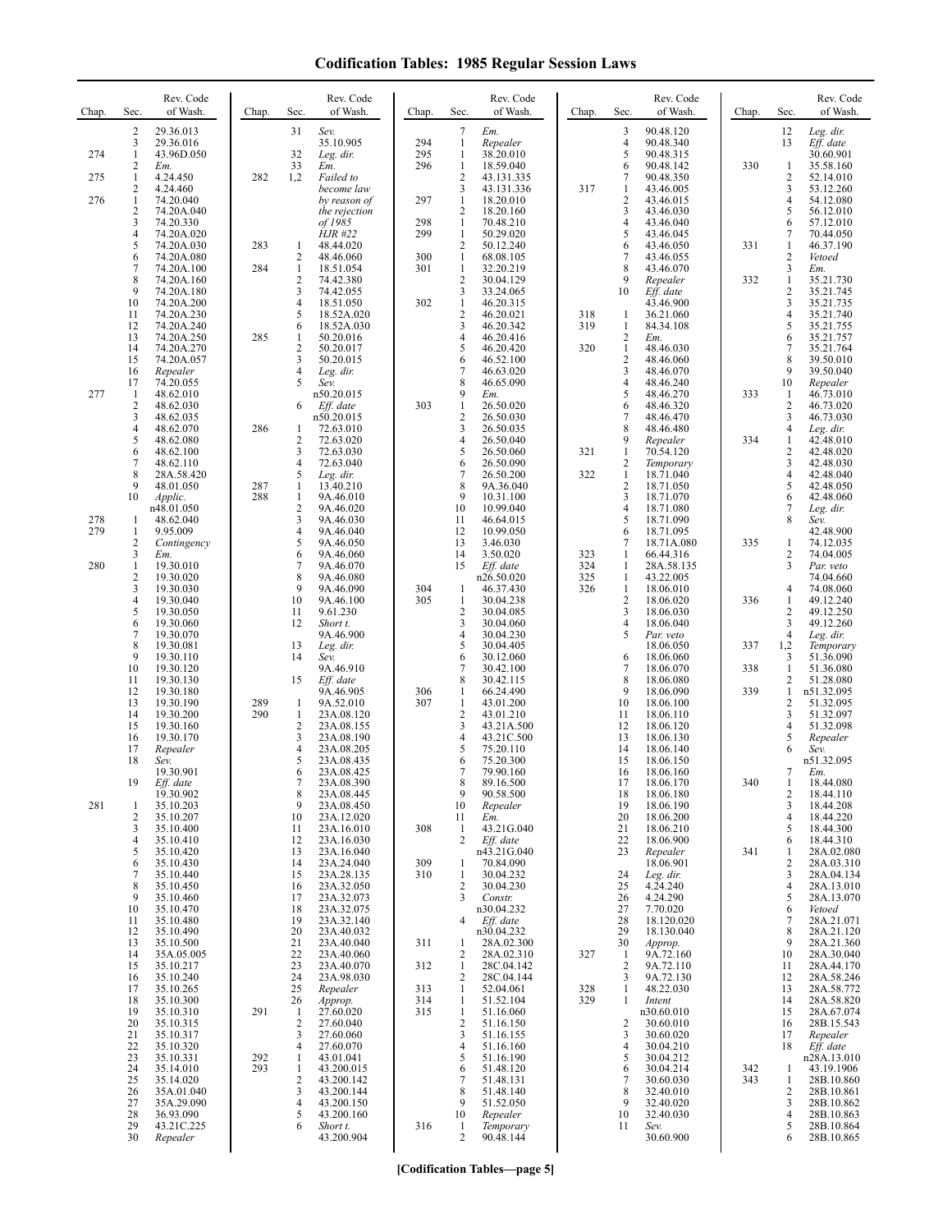| Chap.      | Sec.                                        | Rev. Code<br>of Wash.                                             | Chap.      | Sec.                                            | Rev. Code<br>of Wash.                                              | Chap.             | Sec.                                                                  | Rev. Code<br>of Wash.                                           | Chap.      | Sec.                                           | Rev. Code<br>of Wash.                                         | Chap.      | Sec.                                            | Rev. Code<br>of Wash.                                              |
|------------|---------------------------------------------|-------------------------------------------------------------------|------------|-------------------------------------------------|--------------------------------------------------------------------|-------------------|-----------------------------------------------------------------------|-----------------------------------------------------------------|------------|------------------------------------------------|---------------------------------------------------------------|------------|-------------------------------------------------|--------------------------------------------------------------------|
| 274        | $\overline{2}$<br>3<br>$\mathbf{1}$<br>2    | 29.36.013<br>29.36.016<br>43.96D.050<br>Em.                       |            | 31<br>32<br>33                                  | Sev.<br>35.10.905<br>Leg. dir.<br>Em.                              | 294<br>295<br>296 | 7<br>$\mathbf{1}$<br>$\mathbf{1}$<br>$\mathbf{1}$                     | Em.<br>Repealer<br>38.20.010<br>18.59.040                       |            | 3<br>$\overline{4}$<br>5<br>6                  | 90.48.120<br>90.48.340<br>90.48.315<br>90.48.142              | 330        | 12<br>13<br>1                                   | Leg. dir.<br>Eff. date<br>30.60.901<br>35.58.160                   |
| 275<br>276 | $\mathbf{1}$<br>2<br>$\mathbf{1}$<br>2<br>3 | 4.24.450<br>4.24.460<br>74.20.040<br>74.20A.040                   | 282        | 1,2                                             | Failed to<br>become law<br>by reason of<br>the rejection           | 297<br>298        | $\overline{2}$<br>3<br>$\mathbf{1}$<br>$\overline{c}$<br>$\mathbf{1}$ | 43.131.335<br>43.131.336<br>18.20.010<br>18.20.160<br>70.48.210 | 317        | 7<br>1<br>$\overline{c}$<br>3<br>4             | 90.48.350<br>43.46.005<br>43.46.015<br>43.46.030              |            | $\overline{\mathbf{c}}$<br>3<br>4<br>5<br>6     | 52.14.010<br>53.12.260<br>54.12.080<br>56.12.010                   |
|            | 4<br>5<br>6<br>7                            | 74.20.330<br>74.20A.020<br>74.20A.030<br>74.20A.080<br>74.20A.100 | 283<br>284 | 1<br>$\overline{c}$<br>1                        | of 1985<br><b>HJR</b> #22<br>48.44.020<br>48.46.060<br>18.51.054   | 299<br>300<br>301 | $\mathbf{1}$<br>$\sqrt{2}$<br>$\mathbf{1}$<br>$\mathbf{1}$            | 50.29.020<br>50.12.240<br>68.08.105<br>32.20.219                |            | 5<br>6<br>7<br>8                               | 43.46.040<br>43.46.045<br>43.46.050<br>43.46.055<br>43.46.070 | 331        | 7<br>$\mathbf{1}$<br>2<br>3                     | 57.12.010<br>70.44.050<br>46.37.190<br>Vetoed<br>Em.               |
|            | 8<br>9<br>10<br>11                          | 74.20A.160<br>74.20A.180<br>74.20A.200<br>74.20A.230              |            | 2<br>3<br>4<br>5                                | 74.42.380<br>74.42.055<br>18.51.050<br>18.52A.020                  | 302               | $\sqrt{2}$<br>3<br>$\mathbf{1}$<br>$\sqrt{2}$                         | 30.04.129<br>33.24.065<br>46.20.315<br>46.20.021                | 318        | 9<br>10<br>$\mathbf{1}$                        | Repealer<br>$Eff.$ date<br>43.46.900<br>36.21.060             | 332        | $\mathbf{1}$<br>$\overline{c}$<br>3<br>4        | 35.21.730<br>35.21.745<br>35.21.735<br>35.21.740                   |
|            | 12<br>13<br>14<br>15                        | 74.20A.240<br>74.20A.250<br>74.20A.270<br>74.20A.057              | 285        | 6<br>1<br>$\overline{c}$<br>3                   | 18.52A.030<br>50.20.016<br>50.20.017<br>50.20.015                  |                   | 3<br>$\overline{4}$<br>5<br>6                                         | 46.20.342<br>46.20.416<br>46.20.420<br>46.52.100                | 319<br>320 | $\mathbf{1}$<br>$\overline{2}$<br>1<br>2       | 84.34.108<br>Em.<br>48.46.030<br>48.46.060                    |            | 5<br>6<br>7<br>8                                | 35.21.755<br>35.21.757<br>35.21.764<br>39.50.010                   |
| 277        | 16<br>17<br>$\mathbf{1}$<br>2<br>3          | Repealer<br>74.20.055<br>48.62.010<br>48.62.030<br>48.62.035      |            | 4<br>5<br>6                                     | Leg. dir.<br>Sev.<br>n50.20.015<br>Eff. date<br>n50.20.015         | 303               | $\overline{7}$<br>8<br>9<br>$\mathbf{1}$<br>$\overline{c}$            | 46.63.020<br>46.65.090<br>Em.<br>26.50.020<br>26.50.030         |            | 3<br>4<br>5<br>6<br>7                          | 48.46.070<br>48.46.240<br>48.46.270<br>48.46.320<br>48.46.470 | 333        | 9<br>10<br>1<br>2<br>3                          | 39.50.040<br>Repealer<br>46.73.010<br>46.73.020<br>46.73.030       |
|            | 4<br>5<br>6<br>7                            | 48.62.070<br>48.62.080<br>48.62.100<br>48.62.110                  | 286        | 1<br>$\overline{c}$<br>3<br>4                   | 72.63.010<br>72.63.020<br>72.63.030<br>72.63.040                   |                   | $\overline{\mathbf{3}}$<br>$\overline{4}$<br>5<br>6                   | 26.50.035<br>26.50.040<br>26.50.060<br>26.50.090                | 321        | 8<br>9<br>1<br>2                               | 48.46.480<br>Repealer<br>70.54.120<br>Temporary               | 334        | 4<br>1<br>$\overline{c}$<br>3                   | Leg. dir.<br>42.48.010<br>42.48.020<br>42.48.030                   |
| 278        | 8<br>9<br>10<br>-1                          | 28A.58.420<br>48.01.050<br>Applic.<br>n48.01.050<br>48.62.040     | 287<br>288 | 5<br>1<br>$\mathbf{1}$<br>$\overline{c}$<br>3   | Leg. dir.<br>13.40.210<br>9A.46.010<br>9A.46.020<br>9A.46.030      |                   | $\overline{7}$<br>8<br>9<br>10<br>11                                  | 26.50.200<br>9A.36.040<br>10.31.100<br>10.99.040<br>46.64.015   | 322        | $\mathbf{1}$<br>$\overline{2}$<br>3<br>4<br>5  | 18.71.040<br>18.71.050<br>18.71.070<br>18.71.080<br>18.71.090 |            | 4<br>5<br>6<br>7<br>8                           | 42.48.040<br>42.48.050<br>42.48.060<br>Leg. dir.<br>Sev.           |
| 279<br>280 | -1<br>2<br>3<br>1                           | 9.95.009<br>Contingency<br>Em.<br>19.30.010                       |            | 4<br>5<br>6<br>7                                | 9A.46.040<br>9A.46.050<br>9A.46.060<br>9A.46.070                   |                   | 12<br>13<br>14<br>15                                                  | 10.99.050<br>3.46.030<br>3.50.020<br>Eff. date                  | 323<br>324 | 6<br>7<br>1<br>-1                              | 18.71.095<br>18.71A.080<br>66.44.316<br>28A.58.135            | 335        | 1<br>2<br>3                                     | 42.48.900<br>74.12.035<br>74.04.005<br>Par. veto                   |
|            | $\overline{2}$<br>3<br>4<br>5<br>6          | 19.30.020<br>19.30.030<br>19.30.040<br>19.30.050<br>19.30.060     |            | 8<br>9<br>10<br>11<br>12                        | 9A.46.080<br>9A.46.090<br>9A.46.100<br>9.61.230<br>Short t.        | 304<br>305        | -1<br>$\mathbf{1}$<br>$\overline{c}$<br>3                             | n26.50.020<br>46.37.430<br>30.04.238<br>30.04.085<br>30.04.060  | 325<br>326 | -1<br>$\mathbf{1}$<br>$\overline{2}$<br>3<br>4 | 43.22.005<br>18.06.010<br>18.06.020<br>18.06.030<br>18.06.040 | 336        | 4<br>$\mathbf{1}$<br>2<br>3                     | 74.04.660<br>74.08.060<br>49.12.240<br>49.12.250<br>49.12.260      |
|            | 7<br>8<br>9<br>10                           | 19.30.070<br>19.30.081<br>19.30.110<br>19.30.120                  |            | 13<br>14<br>15                                  | 9A.46.900<br>Leg. dir.<br>Sev.<br>9A.46.910                        |                   | $\overline{4}$<br>5<br>6<br>$\overline{7}$<br>8                       | 30.04.230<br>30.04.405<br>30.12.060<br>30.42.100                |            | 5<br>6<br>7<br>8                               | Par. veto<br>18.06.050<br>18.06.060<br>18.06.070              | 337<br>338 | $\overline{4}$<br>1,2<br>3<br>$\mathbf{1}$      | Leg. dir.<br>Temporary<br>51.36.090<br>51.36.080                   |
|            | 11<br>12<br>13<br>14<br>15                  | 19.30.130<br>19.30.180<br>19.30.190<br>19.30.200<br>19.30.160     | 289<br>290 | $\mathbf{1}$<br>$\mathbf{1}$<br>$\overline{c}$  | Eff. date<br>9A.46.905<br>9A.52.010<br>23A.08.120<br>23A.08.155    | 306<br>307        | $\mathbf{1}$<br>$\mathbf{1}$<br>$\overline{2}$<br>3                   | 30.42.115<br>66.24.490<br>43.01.200<br>43.01.210<br>43.21A.500  |            | 9<br>10<br>11<br>12                            | 18.06.080<br>18.06.090<br>18.06.100<br>18.06.110<br>18.06.120 | 339        | $\overline{c}$<br>1<br>$\overline{c}$<br>3<br>4 | 51.28.080<br>n51.32.095<br>51.32.095<br>51.32.097<br>51.32.098     |
|            | 16<br>17<br>18                              | 19.30.170<br>Repealer<br>Sev.<br>19.30.901                        |            | 3<br>4<br>5<br>6                                | 23A.08.190<br>23A.08.205<br>23A.08.435<br>23A.08.425               |                   | 4<br>5<br>6<br>7                                                      | 43.21C.500<br>75.20.110<br>75.20.300<br>79.90.160               |            | 13<br>14<br>15<br>16                           | 18.06.130<br>18.06.140<br>18.06.150<br>18.06.160              |            | 5<br>6<br>7                                     | Repealer<br>Sev.<br>n51.32.095<br>Em.                              |
| 281        | 19<br>$\mathbf{1}$<br>2<br>3                | Eff. date<br>19.30.902<br>35.10.203<br>35.10.207<br>35.10.400     |            | 8<br>9<br>10<br>11                              | 23A.08.390<br>23A.08.445<br>23A.08.450<br>23A.12.020<br>23A.16.010 | 308               | 8<br>9<br>10<br>11<br>1                                               | 89.16.500<br>90.58.500<br>Repealer<br>Em.<br>43.21G.040         |            | 17<br>18<br>19<br>20<br>21                     | 18.06.170<br>18.06.180<br>18.06.190<br>18.06.200<br>18.06.210 | 340        | 2<br>3<br>4<br>5                                | 18.44.080<br>18.44.110<br>18.44.208<br>18.44.220<br>18.44.300      |
|            | 4<br>5<br>6<br>7                            | 35.10.410<br>35.10.420<br>35.10.430<br>35.10.440                  |            | 12<br>13<br>14<br>15                            | 23A.16.030<br>23A.16.040<br>23A.24.040<br>23A.28.135               | 309<br>310        | 2<br>-1<br>$\mathbf{1}$                                               | Eff. date<br>n43.21G.040<br>70.84.090<br>30.04.232              |            | 22<br>23<br>24                                 | 18.06.900<br>Repealer<br>18.06.901<br>Leg. dir.               | 341        | 6<br>1<br>$\overline{c}$<br>3                   | 18.44.310<br>28A.02.080<br>28A.03.310<br>28A.04.134                |
|            | 8<br>9<br>10<br>11<br>12                    | 35.10.450<br>35.10.460<br>35.10.470<br>35.10.480<br>35.10.490     |            | 16<br>17<br>18<br>19<br>20                      | 23A.32.050<br>23A.32.073<br>23A.32.075<br>23A.32.140<br>23A.40.032 |                   | $\sqrt{2}$<br>3<br>4                                                  | 30.04.230<br>Constr.<br>n30.04.232<br>Eff. date<br>n30.04.232   |            | 25<br>26<br>27<br>28<br>29                     | 4.24.240<br>4.24.290<br>7.70.020<br>18.120.020<br>18.130.040  |            | 4<br>5<br>6<br>7<br>8                           | 28A.13.010<br>28A.13.070<br>Vetoed<br>28A.21.071<br>28A.21.120     |
|            | 13<br>14<br>15<br>16                        | 35.10.500<br>35A.05.005<br>35.10.217<br>35.10.240                 |            | 21<br>22<br>23<br>24                            | 23A.40.040<br>23A.40.060<br>23A.40.070<br>23A.98.030               | 311<br>312        | -1<br>$\overline{c}$<br>$\mathbf{1}$<br>$\overline{2}$                | 28A.02.300<br>28A.02.310<br>28C.04.142<br>28C.04.144            | 327        | 30<br>-1<br>$\overline{2}$<br>3                | Approp.<br>9A.72.160<br>9A.72.110<br>9A.72.130                |            | 9<br>10<br>11<br>12                             | 28A.21.360<br>28A.30.040<br>28A.44.170<br>28A.58.246               |
|            | 17<br>18<br>19<br>20<br>21                  | 35.10.265<br>35.10.300<br>35.10.310<br>35.10.315<br>35.10.317     | 291        | 25<br>26<br>$\mathbf{1}$<br>$\overline{c}$<br>3 | Repealer<br>Approp.<br>27.60.020<br>27.60.040<br>27.60.060         | 313<br>314<br>315 | $\mathbf{1}$<br>1<br>$\mathbf{1}$<br>$\sqrt{2}$<br>3                  | 52.04.061<br>51.52.104<br>51.16.060<br>51.16.150<br>51.16.155   | 328<br>329 | 1<br>1<br>$\overline{2}$<br>3                  | 48.22.030<br>Intent<br>n30.60.010<br>30.60.010<br>30.60.020   |            | 13<br>14<br>15<br>16<br>17                      | 28A.58.772<br>28A.58.820<br>28A.67.074<br>28B.15.543<br>Repealer   |
|            | 22<br>23<br>24<br>25                        | 35.10.320<br>35.10.331<br>35.14.010<br>35.14.020                  | 292<br>293 | 4<br>$\mathbf{1}$<br>$\mathbf{1}$<br>2          | 27.60.070<br>43.01.041<br>43.200.015<br>43.200.142                 |                   | $\overline{4}$<br>5<br>6<br>$\overline{7}$                            | 51.16.160<br>51.16.190<br>51.48.120<br>51.48.131                |            | 4<br>5<br>6<br>7                               | 30.04.210<br>30.04.212<br>30.04.214<br>30.60.030              | 342<br>343 | 18<br>1<br>1                                    | Eff. date<br>n28A.13.010<br>43.19.1906<br>28B.10.860               |
|            | 26<br>27<br>28<br>29<br>30                  | 35A.01.040<br>35A.29.090<br>36.93.090<br>43.21C.225<br>Repealer   |            | 3<br>4<br>5<br>6                                | 43.200.144<br>43.200.150<br>43.200.160<br>Short t.<br>43.200.904   | 316               | 8<br>9<br>10<br>1<br>2                                                | 51.48.140<br>51.52.050<br>Repealer<br>Temporary<br>90.48.144    |            | 8<br>9<br>10<br>11                             | 32.40.010<br>32.40.020<br>32.40.030<br>Sev.<br>30.60.900      |            | 2<br>3<br>4<br>5<br>6                           | 28B.10.861<br>28B.10.862<br>28B.10.863<br>28B.10.864<br>28B.10.865 |

**[Codification Tables—page 5]**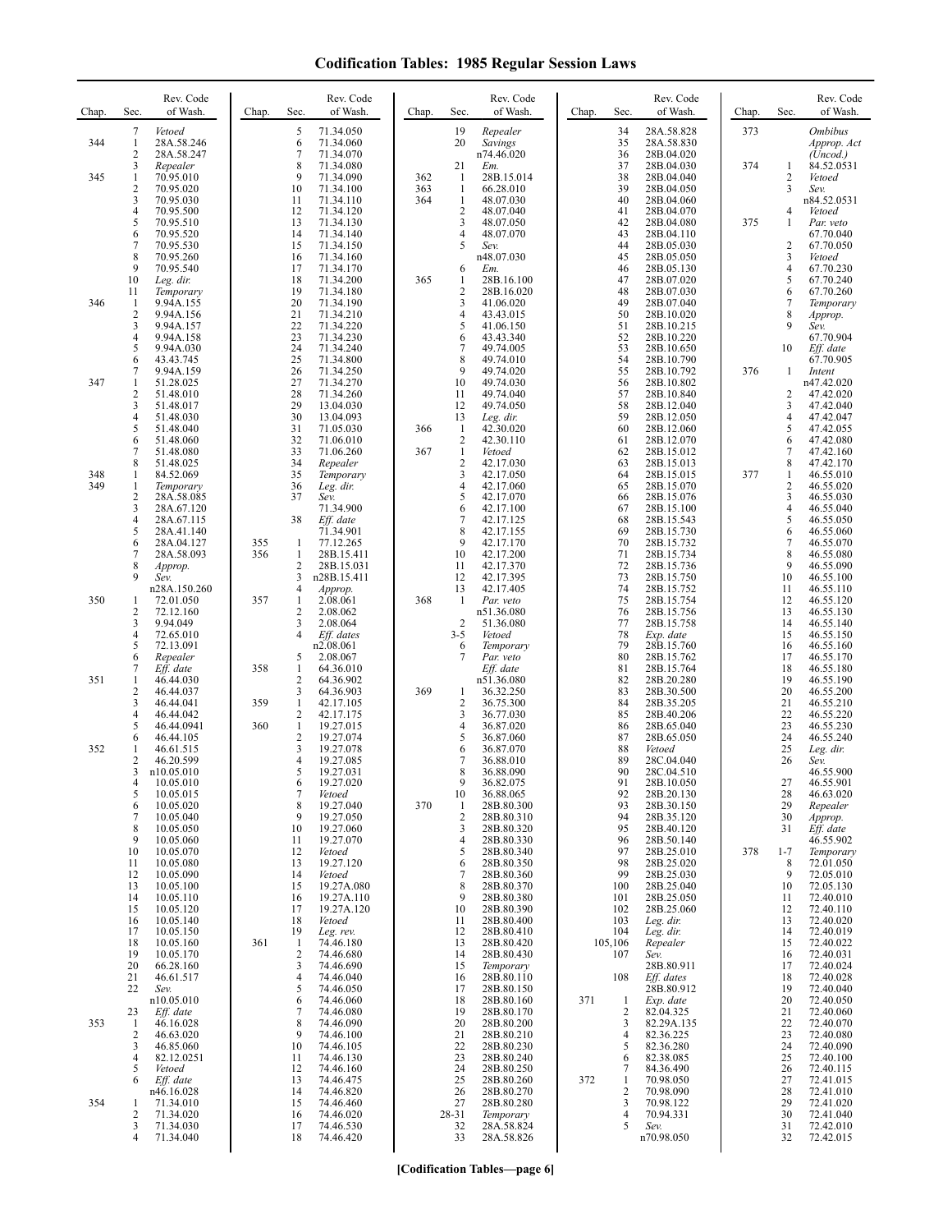| Chap. | Sec.     | Rev. Code<br>of Wash.     | Chap.      | Sec.                           | Rev. Code<br>of Wash.     | Chap.      | Sec.                           | Rev. Code<br>of Wash.    | Chap. | Sec.                 | Rev. Code<br>of Wash.    | Chap. | Sec.                    | Rev. Code<br>of Wash.         |
|-------|----------|---------------------------|------------|--------------------------------|---------------------------|------------|--------------------------------|--------------------------|-------|----------------------|--------------------------|-------|-------------------------|-------------------------------|
| 344   | 7<br>1   | Vetoed<br>28A.58.246      |            | 5<br>6                         | 71.34.050<br>71.34.060    |            | 19<br>20                       | Repealer<br>Savings      |       | 34<br>35             | 28A.58.828<br>28A.58.830 | 373   |                         | <b>Ombibus</b><br>Approp. Act |
|       | 2<br>3   | 28A.58.247<br>Repealer    |            | 7<br>8                         | 71.34.070<br>71.34.080    |            | 21                             | n74.46.020<br>Em.        |       | 36<br>37             | 28B.04.020<br>28B.04.030 | 374   | 1                       | (Uncod.)<br>84.52.0531        |
| 345   | 1<br>2   | 70.95.010<br>70.95.020    |            | 9<br>10                        | 71.34.090<br>71.34.100    | 362<br>363 | -1<br>$\mathbf{1}$             | 28B.15.014<br>66.28.010  |       | 38<br>39             | 28B.04.040<br>28B.04.050 |       | 2<br>3                  | Vetoed<br>Sev.                |
|       | 3<br>4   | 70.95.030<br>70.95.500    |            | 11<br>12                       | 71.34.110<br>71.34.120    | 364        | 1<br>$\overline{2}$            | 48.07.030<br>48.07.040   |       | 40<br>41             | 28B.04.060<br>28B.04.070 |       | 4                       | n84.52.0531<br>Vetoed         |
|       | 5<br>6   | 70.95.510<br>70.95.520    |            | 13<br>14                       | 71.34.130<br>71.34.140    |            | 3<br>4                         | 48.07.050<br>48.07.070   |       | 42<br>43             | 28B.04.080<br>28B.04.110 | 375   | 1                       | Par. veto<br>67.70.040        |
|       | 7<br>8   | 70.95.530<br>70.95.260    |            | 15<br>16                       | 71.34.150<br>71.34.160    |            | 5                              | Sev.<br>n48.07.030       |       | 44<br>45             | 28B.05.030<br>28B.05.050 |       | 2<br>3                  | 67.70.050<br>Vetoed           |
|       | 9        | 70.95.540                 |            | 17                             | 71.34.170                 |            | 6                              | Em.                      |       | 46                   | 28B.05.130               |       | $\overline{\mathbf{4}}$ | 67.70.230                     |
|       | 10<br>11 | Leg. dir.<br>Temporary    |            | 18<br>19                       | 71.34.200<br>71.34.180    | 365        | 1<br>$\overline{2}$            | 28B.16.100<br>28B.16.020 |       | 47<br>48             | 28B.07.020<br>28B.07.030 |       | 5<br>6                  | 67.70.240<br>67.70.260        |
| 346   | -1<br>2  | 9.94A.155<br>9.94A.156    |            | 20<br>21                       | 71.34.190<br>71.34.210    |            | 3<br>4                         | 41.06.020<br>43.43.015   |       | 49<br>50             | 28B.07.040<br>28B.10.020 |       | 7<br>8                  | Temporary<br>Approp.          |
|       | 3<br>4   | 9.94A.157<br>9.94A.158    |            | 22<br>23                       | 71.34.220<br>71.34.230    |            | 5<br>6                         | 41.06.150<br>43.43.340   |       | 51<br>52             | 28B.10.215<br>28B.10.220 |       | 9                       | Sev.<br>67.70.904             |
|       | 5<br>6   | 9.94A.030<br>43.43.745    |            | 24<br>25                       | 71.34.240<br>71.34.800    |            | 7<br>8                         | 49.74.005<br>49.74.010   |       | 53<br>54             | 28B.10.650<br>28B.10.790 |       | 10                      | Eff. date<br>67.70.905        |
| 347   | 7<br>1   | 9.94A.159<br>51.28.025    |            | 26<br>27                       | 71.34.250<br>71.34.270    |            | 9<br>10                        | 49.74.020<br>49.74.030   |       | 55<br>56             | 28B.10.792<br>28B.10.802 | 376   | 1                       | Intent<br>n47.42.020          |
|       | 2<br>3   | 51.48.010<br>51.48.017    |            | 28<br>29                       | 71.34.260<br>13.04.030    |            | 11<br>12                       | 49.74.040<br>49.74.050   |       | 57<br>58             | 28B.10.840<br>28B.12.040 |       | 2<br>3                  | 47.42.020<br>47.42.040        |
|       | 4<br>5   | 51.48.030<br>51.48.040    |            | 30<br>31                       | 13.04.093<br>71.05.030    | 366        | 13<br>-1                       | Leg. dir.<br>42.30.020   |       | 59<br>60             | 28B.12.050<br>28B.12.060 |       | 4<br>5                  | 47.42.047<br>47.42.055        |
|       | 6<br>7   | 51.48.060<br>51.48.080    |            | 32<br>33                       | 71.06.010<br>71.06.260    | 367        | $\overline{c}$<br>$\mathbf{1}$ | 42.30.110<br>Vetoed      |       | 61<br>62             | 28B.12.070<br>28B.15.012 |       | 6<br>7                  | 47.42.080<br>47.42.160        |
| 348   | 8<br>1   | 51.48.025<br>84.52.069    |            | 34<br>35                       | Repealer<br>Temporary     |            | $\overline{c}$<br>3            | 42.17.030<br>42.17.050   |       | 63<br>64             | 28B.15.013<br>28B.15.015 | 377   | 8<br>1                  | 47.42.170<br>46.55.010        |
| 349   | 1        | Temporary                 |            | 36<br>37                       | Leg. dir.                 |            | 4<br>5                         | 42.17.060                |       | 65                   | 28B.15.070               |       | 2<br>3                  | 46.55.020                     |
|       | 2<br>3   | 28A.58.085<br>28A.67.120  |            |                                | Sev.<br>71.34.900         |            | 6                              | 42.17.070<br>42.17.100   |       | 66<br>67             | 28B.15.076<br>28B.15.100 |       | $\overline{\mathbf{4}}$ | 46.55.030<br>46.55.040        |
|       | 4<br>5   | 28A.67.115<br>28A.41.140  |            | 38                             | Eff. date<br>71.34.901    |            | $\overline{7}$<br>8            | 42.17.125<br>42.17.155   |       | 68<br>69             | 28B.15.543<br>28B.15.730 |       | 5<br>6                  | 46.55.050<br>46.55.060        |
|       | 6<br>7   | 28A.04.127<br>28A.58.093  | 355<br>356 | $\mathbf{1}$<br>$\mathbf{1}$   | 77.12.265<br>28B.15.411   |            | 9<br>10                        | 42.17.170<br>42.17.200   |       | 70<br>71             | 28B.15.732<br>28B.15.734 |       | 7<br>8                  | 46.55.070<br>46.55.080        |
|       | 8<br>9   | Approp.<br>Sev.           |            | $\overline{2}$<br>3            | 28B.15.031<br>n28B.15.411 |            | 11<br>12                       | 42.17.370<br>42.17.395   |       | 72<br>73             | 28B.15.736<br>28B.15.750 |       | 9<br>10                 | 46.55.090<br>46.55.100        |
| 350   | 1        | n28A.150.260<br>72.01.050 | 357        | 4<br>1                         | Approp.<br>2.08.061       | 368        | 13<br>$\mathbf{1}$             | 42.17.405<br>Par. veto   |       | 74<br>75             | 28B.15.752<br>28B.15.754 |       | 11<br>12                | 46.55.110<br>46.55.120        |
|       | 2<br>3   | 72.12.160<br>9.94.049     |            | $\overline{2}$<br>3            | 2.08.062<br>2.08.064      |            | $\overline{2}$                 | n51.36.080<br>51.36.080  |       | 76<br>77             | 28B.15.756<br>28B.15.758 |       | 13<br>14                | 46.55.130<br>46.55.140        |
|       | 4<br>5   | 72.65.010<br>72.13.091    |            | $\overline{4}$                 | Eff. dates<br>n2.08.061   |            | $3 - 5$<br>6                   | Vetoed<br>Temporary      |       | 78<br>79             | Exp. date<br>28B.15.760  |       | 15<br>16                | 46.55.150<br>46.55.160        |
|       | 6<br>7   | Repealer<br>Eff. date     | 358        | 5<br>1                         | 2.08.067<br>64.36.010     |            | 7                              | Par. veto<br>Eff. date   |       | 80<br>81             | 28B.15.762<br>28B.15.764 |       | 17<br>18                | 46.55.170<br>46.55.180        |
| 351   | 1<br>2   | 46.44.030<br>46.44.037    |            | $\overline{c}$<br>3            | 64.36.902<br>64.36.903    | 369        | 1                              | n51.36.080<br>36.32.250  |       | 82<br>83             | 28B.20.280<br>28B.30.500 |       | 19<br>20                | 46.55.190<br>46.55.200        |
|       | 3<br>4   | 46.44.041<br>46.44.042    | 359        | $\mathbf{1}$<br>2              | 42.17.105<br>42.17.175    |            | $\overline{2}$<br>3            | 36.75.300<br>36.77.030   |       | 84<br>85             | 28B.35.205<br>28B.40.206 |       | 21<br>22                | 46.55.210<br>46.55.220        |
|       | 5<br>6   | 46.44.0941<br>46.44.105   | 360        | $\mathbf{1}$<br>$\overline{2}$ | 19.27.015<br>19.27.074    |            | 4<br>5                         | 36.87.020<br>36.87.060   |       | 86<br>87             | 28B.65.040<br>28B.65.050 |       | 23<br>24                | 46.55.230<br>46.55.240        |
| 352   | 1<br>2   | 46.61.515<br>46.20.599    |            | 3<br>$\overline{4}$            | 19.27.078<br>19.27.085    |            | 6<br>7                         | 36.87.070<br>36.88.010   |       | 88<br>89             | Vetoed<br>28C.04.040     |       | 25<br>26                | Leg. dir.<br>Sev.             |
|       | 3        | n10.05.010                |            | 5                              | 19.27.031                 |            | 8                              | 36.88.090                |       | 90                   | 28C.04.510               |       |                         | 46.55.900                     |
|       | 4<br>5   | 10.05.010<br>10.05.015    |            | 6<br>7                         | 19.27.020<br>Vetoed       |            | 9<br>10                        | 36.82.075<br>36.88.065   |       | 91<br>92             | 28B.10.050<br>28B.20.130 |       | 27<br>28                | 46.55.901<br>46.63.020        |
|       | 6<br>7   | 10.05.020<br>10.05.040    |            | 8<br>9                         | 19.27.040<br>19.27.050    | 370        | -1<br>$\overline{2}$           | 28B.80.300<br>28B.80.310 |       | 93<br>94             | 28B.30.150<br>28B.35.120 |       | 29<br>30                | Repealer<br>Approp.           |
|       | 8<br>9   | 10.05.050<br>10.05.060    |            | 10<br>11                       | 19.27.060<br>19.27.070    |            | 3<br>4                         | 28B.80.320<br>28B.80.330 |       | 95<br>96             | 28B.40.120<br>28B.50.140 |       | 31                      | Eff. date<br>46.55.902        |
|       | 10<br>11 | 10.05.070<br>10.05.080    |            | 12<br>13                       | Vetoed<br>19.27.120       |            | 5<br>6                         | 28B.80.340<br>28B.80.350 |       | 97<br>98             | 28B.25.010<br>28B.25.020 | 378   | $1 - 7$<br>8            | Temporary<br>72.01.050        |
|       | 12<br>13 | 10.05.090<br>10.05.100    |            | 14<br>15                       | Vetoed<br>19.27A.080      |            | 7<br>8                         | 28B.80.360<br>28B.80.370 |       | 99<br>100            | 28B.25.030<br>28B.25.040 |       | 9<br>10                 | 72.05.010<br>72.05.130        |
|       | 14<br>15 | 10.05.110<br>10.05.120    |            | 16<br>17                       | 19.27A.110<br>19.27A.120  |            | 9<br>10                        | 28B.80.380<br>28B.80.390 |       | 101<br>102           | 28B.25.050<br>28B.25.060 |       | 11<br>12                | 72.40.010<br>72.40.110        |
|       | 16<br>17 | 10.05.140<br>10.05.150    |            | 18<br>19                       | Vetoed<br>Leg. rev.       |            | 11<br>12                       | 28B.80.400<br>28B.80.410 |       | 103<br>104           | Leg. dir.<br>Leg. dir.   |       | 13<br>14                | 72.40.020<br>72.40.019        |
|       | 18<br>19 | 10.05.160<br>10.05.170    | 361        | $\mathbf{1}$<br>$\overline{2}$ | 74.46.180<br>74.46.680    |            | 13<br>14                       | 28B.80.420<br>28B.80.430 |       | 105,106<br>107       | Repealer<br>Sev.         |       | 15<br>16                | 72.40.022<br>72.40.031        |
|       | 20<br>21 | 66.28.160<br>46.61.517    |            | 3<br>$\overline{4}$            | 74.46.690<br>74.46.040    |            | 15<br>16                       | Temporary<br>28B.80.110  |       | 108                  | 28B.80.911<br>Eff. dates |       | 17<br>18                | 72.40.024<br>72.40.028        |
|       | 22       | Sev.<br>n10.05.010        |            | 5<br>6                         | 74.46.050<br>74.46.060    |            | 17<br>18                       | 28B.80.150<br>28B.80.160 | 371   | -1                   | 28B.80.912<br>Exp. date  |       | 19<br>20                | 72.40.040<br>72.40.050        |
| 353   | 23<br>-1 | Eff. date<br>46.16.028    |            | 7<br>8                         | 74.46.080<br>74.46.090    |            | 19<br>20                       | 28B.80.170<br>28B.80.200 |       | 2<br>3               | 82.04.325<br>82.29A.135  |       | 21<br>22                | 72.40.060<br>72.40.070        |
|       | 2<br>3   | 46.63.020<br>46.85.060    |            | 9<br>10                        | 74.46.100<br>74.46.105    |            | 21<br>22                       | 28B.80.210<br>28B.80.230 |       | $\overline{4}$<br>5  | 82.36.225<br>82.36.280   |       | 23<br>24                | 72.40.080<br>72.40.090        |
|       | 4<br>5   | 82.12.0251<br>Vetoed      |            | 11<br>12                       | 74.46.130<br>74.46.160    |            | 23<br>24                       | 28B.80.240<br>28B.80.250 |       | 6<br>7               | 82.38.085<br>84.36.490   |       | 25<br>26                | 72.40.100<br>72.40.115        |
|       | 6        | Eff. date                 |            | 13                             | 74.46.475                 |            | 25                             | 28B.80.260               | 372   | -1<br>$\overline{2}$ | 70.98.050                |       | 27                      | 72.41.015                     |
| 354   | 1        | n46.16.028<br>71.34.010   |            | 14<br>15                       | 74.46.820<br>74.46.460    |            | 26<br>27                       | 28B.80.270<br>28B.80.280 |       | 3                    | 70.98.090<br>70.98.122   |       | 28<br>29                | 72.41.010<br>72.41.020        |
|       | 2<br>3   | 71.34.020<br>71.34.030    |            | 16<br>17                       | 74.46.020<br>74.46.530    |            | 28-31<br>32                    | Temporary<br>28A.58.824  |       | $\overline{4}$<br>5  | 70.94.331<br>Sev.        |       | 30<br>31                | 72.41.040<br>72.42.010        |
|       | 4        | 71.34.040                 |            | 18                             | 74.46.420                 |            | 33                             | 28A.58.826               |       |                      | n70.98.050               |       | 32                      | 72.42.015                     |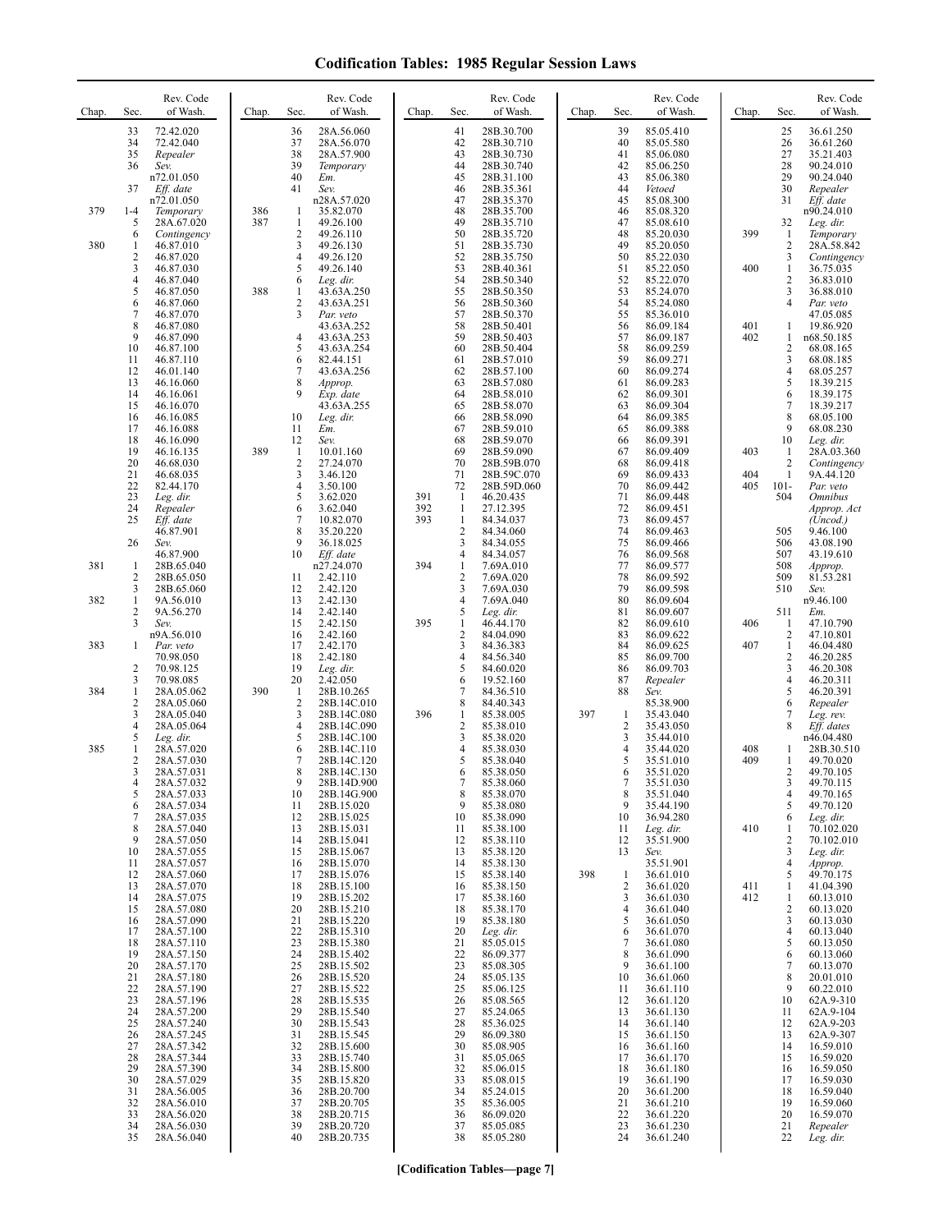| Chap. | Sec.                                            | Rev. Code<br>of Wash.                                              | Chap.      | Sec.                                             | Rev. Code<br>of Wash.                                                   | Chap.             | Sec.                                                                 | Rev. Code<br>of Wash.                                              | Chap. | Sec.                                                   | Rev. Code<br>of Wash.                                         | Chap.      | Sec.                                   | Rev. Code<br>of Wash.                                                     |
|-------|-------------------------------------------------|--------------------------------------------------------------------|------------|--------------------------------------------------|-------------------------------------------------------------------------|-------------------|----------------------------------------------------------------------|--------------------------------------------------------------------|-------|--------------------------------------------------------|---------------------------------------------------------------|------------|----------------------------------------|---------------------------------------------------------------------------|
|       | 33<br>34<br>35<br>36                            | 72.42.020<br>72.42.040<br>Repealer<br>Sev.<br>n72.01.050           |            | 36<br>37<br>38<br>39<br>40                       | 28A.56.060<br>28A.56.070<br>28A.57.900<br>Temporary<br>Em.              |                   | 41<br>42<br>43<br>44<br>45                                           | 28B.30.700<br>28B.30.710<br>28B.30.730<br>28B.30.740<br>28B.31.100 |       | 39<br>40<br>41<br>42<br>43                             | 85.05.410<br>85.05.580<br>85.06.080<br>85.06.250<br>85.06.380 |            | 25<br>26<br>27<br>28<br>29             | 36.61.250<br>36.61.260<br>35.21.403<br>90.24.010<br>90.24.040             |
| 379   | 37<br>$1-4$<br>5<br>6                           | Eff. date<br>n72.01.050<br>Temporary<br>28A.67.020<br>Contingency  | 386<br>387 | 41<br>$\mathbf{1}$<br>$\mathbf{1}$<br>$\sqrt{2}$ | Sev.<br>n28A.57.020<br>35.82.070<br>49.26.100<br>49.26.110              |                   | 46<br>47<br>48<br>49<br>50                                           | 28B.35.361<br>28B.35.370<br>28B.35.700<br>28B.35.710<br>28B.35.720 |       | 44<br>45<br>46<br>47<br>48                             | Vetoed<br>85.08.300<br>85.08.320<br>85.08.610<br>85.20.030    | 399        | 30<br>31<br>32<br>-1                   | Repealer<br>Eff. date<br>n90.24.010<br>Leg. dir.<br>Temporary             |
| 380   | 1<br>$\sqrt{2}$<br>3<br>$\overline{4}$          | 46.87.010<br>46.87.020<br>46.87.030                                |            | 3<br>4<br>5<br>6                                 | 49.26.130<br>49.26.120<br>49.26.140                                     |                   | 51<br>52<br>53<br>54                                                 | 28B.35.730<br>28B.35.750<br>28B.40.361<br>28B.50.340               |       | 49<br>50<br>51                                         | 85.20.050<br>85.22.030<br>85.22.050                           | 400        | $\overline{2}$<br>3<br>$\mathbf{1}$    | 28A.58.842<br>Contingency<br>36.75.035                                    |
|       | 5<br>6<br>$\tau$                                | 46.87.040<br>46.87.050<br>46.87.060<br>46.87.070                   | 388        | $\mathbf{1}$<br>$\overline{c}$<br>3              | Leg. dir.<br>43.63A.250<br>43.63A.251<br>Par. veto                      |                   | 55<br>56<br>57                                                       | 28B.50.350<br>28B.50.360<br>28B.50.370                             |       | 52<br>53<br>54<br>55                                   | 85.22.070<br>85.24.070<br>85.24.080<br>85.36.010              |            | $\sqrt{2}$<br>3<br>4                   | 36.83.010<br>36.88.010<br>Par. veto<br>47.05.085                          |
|       | 8<br>9<br>10<br>11<br>12                        | 46.87.080<br>46.87.090<br>46.87.100<br>46.87.110<br>46.01.140      |            | 4<br>5<br>6<br>7                                 | 43.63A.252<br>43.63A.253<br>43.63A.254<br>82.44.151<br>43.63A.256       |                   | 58<br>59<br>60<br>61<br>62                                           | 28B.50.401<br>28B.50.403<br>28B.50.404<br>28B.57.010<br>28B.57.100 |       | 56<br>57<br>58<br>59<br>60                             | 86.09.184<br>86.09.187<br>86.09.259<br>86.09.271<br>86.09.274 | 401<br>402 | 1<br>1<br>2<br>3<br>4                  | 19.86.920<br>n68.50.185<br>68.08.165<br>68.08.185<br>68.05.257            |
|       | 13<br>14<br>15<br>16<br>17                      | 46.16.060<br>46.16.061<br>46.16.070<br>46.16.085<br>46.16.088      |            | 8<br>9<br>10<br>11                               | Approp.<br>Exp. date<br>43.63A.255<br>Leg. dir.<br>Em.                  |                   | 63<br>64<br>65<br>66<br>67                                           | 28B.57.080<br>28B.58.010<br>28B.58.070<br>28B.58.090<br>28B.59.010 |       | 61<br>62<br>63<br>64<br>65                             | 86.09.283<br>86.09.301<br>86.09.304<br>86.09.385<br>86.09.388 |            | 5<br>6<br>$\overline{7}$<br>8<br>9     | 18.39.215<br>18.39.175<br>18.39.217<br>68.05.100<br>68.08.230             |
|       | 18<br>19<br>20<br>21                            | 46.16.090<br>46.16.135<br>46.68.030<br>46.68.035                   | 389        | 12<br>-1<br>2<br>3                               | Sev.<br>10.01.160<br>27.24.070<br>3.46.120                              |                   | 68<br>69<br>70<br>71                                                 | 28B.59.070<br>28B.59.090<br>28B.59B.070<br>28B.59C.070             |       | 66<br>67<br>68<br>69                                   | 86.09.391<br>86.09.409<br>86.09.418<br>86.09.433              | 403<br>404 | 10<br>1<br>2<br>$\mathbf{1}$           | Leg. dir.<br>28A.03.360<br>Contingency<br>9A.44.120                       |
|       | 22<br>23<br>24<br>25                            | 82.44.170<br>Leg. dir.<br>Repealer<br>Eff. date<br>46.87.901       |            | 4<br>5<br>6<br>7<br>8                            | 3.50.100<br>3.62.020<br>3.62.040<br>10.82.070<br>35.20.220              | 391<br>392<br>393 | 72<br>$\mathbf{1}$<br>$\mathbf{1}$<br>$\mathbf{1}$<br>$\overline{2}$ | 28B.59D.060<br>46.20.435<br>27.12.395<br>84.34.037<br>84.34.060    |       | 70<br>71<br>72<br>73<br>74                             | 86.09.442<br>86.09.448<br>86.09.451<br>86.09.457<br>86.09.463 | 405        | $101 -$<br>504<br>505                  | Par. veto<br><i><b>Omnibus</b></i><br>Approp. Act<br>(Uncod.)<br>9.46.100 |
| 381   | 26<br>$\mathbf{1}$<br>2                         | Sev.<br>46.87.900<br>28B.65.040<br>28B.65.050                      |            | 9<br>10<br>11                                    | 36.18.025<br>Eff. date<br>n27.24.070<br>2.42.110                        | 394               | 3<br>4<br>1<br>$\overline{2}$                                        | 84.34.055<br>84.34.057<br>7.69A.010<br>7.69A.020                   |       | 75<br>76<br>77<br>78                                   | 86.09.466<br>86.09.568<br>86.09.577<br>86.09.592              |            | 506<br>507<br>508<br>509               | 43.08.190<br>43.19.610<br>Approp.<br>81.53.281                            |
| 382   | 3<br>$\mathbf{1}$<br>$\overline{c}$<br>3        | 28B.65.060<br>9A.56.010<br>9A.56.270<br>Sev.                       |            | 12<br>13<br>14<br>15                             | 2.42.120<br>2.42.130<br>2.42.140<br>2.42.150                            | 395               | 3<br>4<br>5<br>1                                                     | 7.69A.030<br>7.69A.040<br>Leg. dir.<br>46.44.170                   |       | 79<br>80<br>81<br>82                                   | 86.09.598<br>86.09.604<br>86.09.607<br>86.09.610              | 406        | 510<br>511<br>1                        | Sev.<br>n9.46.100<br>Em.<br>47.10.790                                     |
| 383   | 1<br>$\overline{2}$                             | n9A.56.010<br>Par. veto<br>70.98.050<br>70.98.125                  |            | 16<br>17<br>18<br>19                             | 2.42.160<br>2.42.170<br>2.42.180<br>Leg. dir.                           |                   | $\overline{2}$<br>3<br>$\overline{4}$<br>5                           | 84.04.090<br>84.36.383<br>84.56.340<br>84.60.020                   |       | 83<br>84<br>85<br>86                                   | 86.09.622<br>86.09.625<br>86.09.700<br>86.09.703              | 407        | $\overline{2}$<br>1<br>2<br>3          | 47.10.801<br>46.04.480<br>46.20.285<br>46.20.308                          |
| 384   | 3<br>1<br>$\overline{2}$<br>3                   | 70.98.085<br>28A.05.062<br>28A.05.060<br>28A.05.040                | 390        | 20<br>1<br>$\overline{c}$<br>3                   | 2.42.050<br>28B.10.265<br>28B.14C.010<br>28B.14C.080                    | 396               | 6<br>7<br>8<br>1                                                     | 19.52.160<br>84.36.510<br>84.40.343<br>85.38.005                   | 397   | 87<br>88<br>-1                                         | Repealer<br>Sev.<br>85.38.900<br>35.43.040                    |            | $\overline{\mathbf{4}}$<br>5<br>6<br>7 | 46.20.311<br>46.20.391<br>Repealer<br>Leg. rev.                           |
| 385   | $\overline{4}$<br>5<br>1<br>$\overline{2}$<br>3 | 28A.05.064<br>Leg. dir.<br>28A.57.020<br>28A.57.030<br>28A.57.031  |            | $\overline{4}$<br>5<br>6<br>7<br>8               | 28B.14C.090<br>28B.14C.100<br>28B.14C.110<br>28B.14C.120<br>28B.14C.130 |                   | $\sqrt{2}$<br>3<br>4<br>5<br>6                                       | 85.38.010<br>85.38.020<br>85.38.030<br>85.38.040<br>85.38.050      |       | $\sqrt{2}$<br>$\mathbf{3}$<br>$\overline{4}$<br>5<br>6 | 35.43.050<br>35.44.010<br>35.44.020<br>35.51.010<br>35.51.020 | 408<br>409 | 8<br>1<br>1<br>2                       | Eff. dates<br>n46.04.480<br>28B.30.510<br>49.70.020<br>49.70.105          |
|       | 4<br>5<br>6<br>7<br>8                           | 28A.57.032<br>28A.57.033<br>28A.57.034<br>28A.57.035               |            | 9<br>10<br>11<br>12<br>13                        | 28B.14D.900<br>28B.14G.900<br>28B.15.020<br>28B.15.025                  |                   | 8<br>9<br>10<br>11                                                   | 85.38.060<br>85.38.070<br>85.38.080<br>85.38.090<br>85.38.100      |       | 8<br>9<br>10                                           | 35.51.030<br>35.51.040<br>35.44.190<br>36.94.280              | 410        | 3<br>4<br>5<br>6                       | 49.70.115<br>49.70.165<br>49.70.120<br>Leg. dir.<br>70.102.020            |
|       | 9<br>10<br>11<br>12                             | 28A.57.040<br>28A.57.050<br>28A.57.055<br>28A.57.057<br>28A.57.060 |            | 14<br>15<br>16<br>17                             | 28B.15.031<br>28B.15.041<br>28B.15.067<br>28B.15.070<br>28B.15.076      |                   | 12<br>13<br>14<br>15                                                 | 85.38.110<br>85.38.120<br>85.38.130<br>85.38.140                   | 398   | 11<br>12<br>13<br>-1                                   | Leg. dir.<br>35.51.900<br>Sev.<br>35.51.901<br>36.61.010      |            | 1<br>2<br>3<br>4<br>5                  | 70.102.010<br>Leg. dir.<br>Approp.<br>49.70.175                           |
|       | 13<br>14<br>15<br>16                            | 28A.57.070<br>28A.57.075<br>28A.57.080<br>28A.57.090               |            | 18<br>19<br>20<br>21                             | 28B.15.100<br>28B.15.202<br>28B.15.210<br>28B.15.220                    |                   | 16<br>17<br>18<br>19                                                 | 85.38.150<br>85.38.160<br>85.38.170<br>85.38.180                   |       | $\overline{2}$<br>3<br>$\overline{4}$<br>5             | 36.61.020<br>36.61.030<br>36.61.040<br>36.61.050              | 411<br>412 | 1<br>1<br>2<br>3                       | 41.04.390<br>60.13.010<br>60.13.020<br>60.13.030                          |
|       | 17<br>18<br>19<br>20<br>21                      | 28A.57.100<br>28A.57.110<br>28A.57.150<br>28A.57.170<br>28A.57.180 |            | 22<br>23<br>24<br>25<br>26                       | 28B.15.310<br>28B.15.380<br>28B.15.402<br>28B.15.502<br>28B.15.520      |                   | 20<br>21<br>22<br>23<br>24                                           | Leg. dir.<br>85.05.015<br>86.09.377<br>85.08.305<br>85.05.135      |       | 6<br>$\overline{7}$<br>8<br>9<br>10                    | 36.61.070<br>36.61.080<br>36.61.090<br>36.61.100<br>36.61.060 |            | 4<br>5<br>6<br>7<br>8                  | 60.13.040<br>60.13.050<br>60.13.060<br>60.13.070<br>20.01.010             |
|       | 22<br>23<br>24<br>25                            | 28A.57.190<br>28A.57.196<br>28A.57.200<br>28A.57.240               |            | 27<br>28<br>29<br>30                             | 28B.15.522<br>28B.15.535<br>28B.15.540<br>28B.15.543                    |                   | 25<br>26<br>27<br>28                                                 | 85.06.125<br>85.08.565<br>85.24.065<br>85.36.025                   |       | 11<br>12<br>13<br>14                                   | 36.61.110<br>36.61.120<br>36.61.130<br>36.61.140              |            | 9<br>10<br>11<br>12                    | 60.22.010<br>62A.9-310<br>62A.9-104<br>62A.9-203                          |
|       | 26<br>27<br>28<br>29<br>30                      | 28A.57.245<br>28A.57.342<br>28A.57.344<br>28A.57.390<br>28A.57.029 |            | 31<br>32<br>33<br>34<br>35                       | 28B.15.545<br>28B.15.600<br>28B.15.740<br>28B.15.800<br>28B.15.820      |                   | 29<br>30<br>31<br>32<br>33                                           | 86.09.380<br>85.08.905<br>85.05.065<br>85.06.015<br>85.08.015      |       | 15<br>16<br>17<br>18<br>19                             | 36.61.150<br>36.61.160<br>36.61.170<br>36.61.180<br>36.61.190 |            | 13<br>14<br>15<br>16<br>17             | 62A.9-307<br>16.59.010<br>16.59.020<br>16.59.050<br>16.59.030             |
|       | 31<br>32<br>33<br>34<br>35                      | 28A.56.005<br>28A.56.010<br>28A.56.020<br>28A.56.030<br>28A.56.040 |            | 36<br>37<br>38<br>39<br>40                       | 28B.20.700<br>28B.20.705<br>28B.20.715<br>28B.20.720<br>28B.20.735      |                   | 34<br>35<br>36<br>37<br>38                                           | 85.24.015<br>85.36.005<br>86.09.020<br>85.05.085<br>85.05.280      |       | 20<br>21<br>22<br>23<br>24                             | 36.61.200<br>36.61.210<br>36.61.220<br>36.61.230<br>36.61.240 |            | 18<br>19<br>20<br>21<br>22             | 16.59.040<br>16.59.060<br>16.59.070<br>Repealer<br>Leg. dir.              |

**[Codification Tables—page 7]**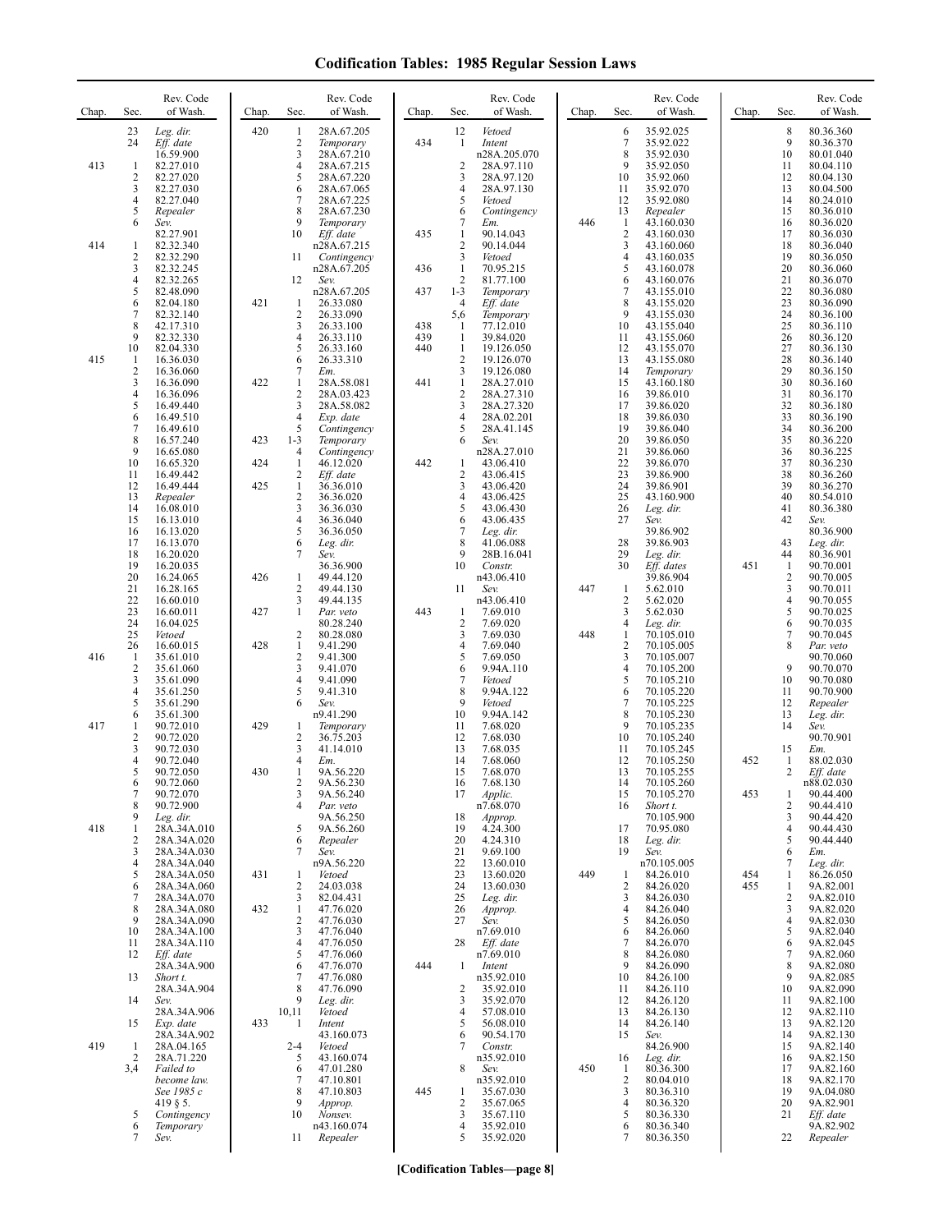| Chap. | Sec.                | Rev. Code<br>of Wash.              | Chap. | Sec.                           | Rev. Code<br>of Wash.      | Chap.      | Sec.                      | Rev. Code<br>of Wash.    | Chap. | Sec.                | Rev. Code<br>of Wash.    | Chap. | Sec.                | Rev. Code<br>of Wash.  |
|-------|---------------------|------------------------------------|-------|--------------------------------|----------------------------|------------|---------------------------|--------------------------|-------|---------------------|--------------------------|-------|---------------------|------------------------|
|       | 23                  | Leg. dir.                          | 420   | $\mathbf{1}$                   | 28A.67.205                 |            | 12                        | Vetoed                   |       | 6                   | 35.92.025                |       | $\,$ 8 $\,$         | 80.36.360              |
|       | 24                  | Eff. date<br>16.59.900             |       | $\overline{c}$<br>3            | Temporary<br>28A.67.210    | 434        | 1                         | Intent<br>n28A.205.070   |       | 7<br>8              | 35.92.022<br>35.92.030   |       | 9<br>10             | 80.36.370<br>80.01.040 |
| 413   | 1                   | 82.27.010                          |       | 4                              | 28A.67.215                 |            | 2                         | 28A.97.110               |       | 9                   | 35.92.050                |       | 11                  | 80.04.110              |
|       | 2<br>3              | 82.27.020                          |       | 5<br>6                         | 28A.67.220                 |            | 3<br>4                    | 28A.97.120               |       | 10                  | 35.92.060                |       | 12<br>13            | 80.04.130              |
|       | 4                   | 82.27.030<br>82.27.040             |       | 7                              | 28A.67.065<br>28A.67.225   |            | 5                         | 28A.97.130<br>Vetoed     |       | 11<br>12            | 35.92.070<br>35.92.080   |       | 14                  | 80.04.500<br>80.24.010 |
|       | 5                   | Repealer                           |       | 8                              | 28A.67.230                 |            | 6                         | Contingency              |       | 13                  | Repealer                 |       | 15                  | 80.36.010              |
|       | 6                   | Sev.<br>82.27.901                  |       | 9<br>10                        | Temporary<br>Eff. date     | 435        | 7<br>$\mathbf{1}$         | Em.<br>90.14.043         | 446   | 1<br>$\overline{2}$ | 43.160.030<br>43.160.030 |       | 16<br>17            | 80.36.020<br>80.36.030 |
| 414   | 1                   | 82.32.340                          |       |                                | n28A.67.215                |            | $\overline{\mathbf{c}}$   | 90.14.044                |       | 3                   | 43.160.060               |       | 18                  | 80.36.040              |
|       | $\overline{c}$<br>3 | 82.32.290<br>82.32.245             |       | 11                             | Contingency<br>n28A.67.205 | 436        | 3<br>$\mathbf{1}$         | Vetoed<br>70.95.215      |       | $\overline{4}$<br>5 | 43.160.035<br>43.160.078 |       | 19<br>20            | 80.36.050<br>80.36.060 |
|       | 4                   | 82.32.265                          |       | 12                             | Sev.                       |            | $\overline{2}$            | 81.77.100                |       | 6                   | 43.160.076               |       | 21                  | 80.36.070              |
|       | 5<br>6              | 82.48.090<br>82.04.180             | 421   | 1                              | n28A.67.205<br>26.33.080   | 437        | $1 - 3$<br>$\overline{4}$ | Temporary<br>Eff. date   |       | $\tau$<br>8         | 43.155.010<br>43.155.020 |       | 22<br>23            | 80.36.080<br>80.36.090 |
|       | 7                   | 82.32.140                          |       | $\overline{2}$                 | 26.33.090                  |            | 5,6                       | Temporary                |       | 9                   | 43.155.030               |       | 24                  | 80.36.100              |
|       | 8<br>9              | 42.17.310<br>82.32.330             |       | 3<br>$\overline{4}$            | 26.33.100<br>26.33.110     | 438<br>439 | 1<br>$\mathbf{1}$         | 77.12.010<br>39.84.020   |       | 10<br>11            | 43.155.040<br>43.155.060 |       | 25<br>26            | 80.36.110<br>80.36.120 |
|       | 10                  | 82.04.330                          |       | 5                              | 26.33.160                  | 440        | 1                         | 19.126.050               |       | 12                  | 43.155.070               |       | 27                  | 80.36.130              |
| 415   | 1<br>$\overline{c}$ | 16.36.030                          |       | 6<br>7                         | 26.33.310                  |            | $\overline{2}$            | 19.126.070               |       | 13<br>14            | 43.155.080               |       | 28<br>29            | 80.36.140              |
|       | 3                   | 16.36.060<br>16.36.090             | 422   | 1                              | Em.<br>28A.58.081          | 441        | 3<br>$\mathbf{1}$         | 19.126.080<br>28A.27.010 |       | 15                  | Temporary<br>43.160.180  |       | 30                  | 80.36.150<br>80.36.160 |
|       | 4                   | 16.36.096                          |       | $\sqrt{2}$                     | 28A.03.423                 |            | $\overline{2}$            | 28A.27.310               |       | 16                  | 39.86.010                |       | 31                  | 80.36.170              |
|       | 5<br>6              | 16.49.440<br>16.49.510             |       | 3<br>$\overline{4}$            | 28A.58.082<br>Exp. date    |            | 3<br>4                    | 28A.27.320<br>28A.02.201 |       | 17<br>18            | 39.86.020<br>39.86.030   |       | 32<br>33            | 80.36.180<br>80.36.190 |
|       | 7                   | 16.49.610                          |       | 5                              | Contingency                |            | 5                         | 28A.41.145               |       | 19                  | 39.86.040                |       | 34                  | 80.36.200              |
|       | 8<br>9              | 16.57.240<br>16.65.080             | 423   | $1 - 3$<br>$\overline{4}$      | Temporary<br>Contingency   |            | 6                         | Sev.<br>n28A.27.010      |       | 20<br>21            | 39.86.050<br>39.86.060   |       | 35<br>36            | 80.36.220<br>80.36.225 |
|       | 10                  | 16.65.320                          | 424   | 1                              | 46.12.020                  | 442        | 1                         | 43.06.410                |       | 22                  | 39.86.070                |       | 37                  | 80.36.230              |
|       | 11<br>12            | 16.49.442<br>16.49.444             | 425   | $\overline{2}$<br>1            | Eff. date<br>36.36.010     |            | $\overline{2}$<br>3       | 43.06.415<br>43.06.420   |       | 23<br>24            | 39.86.900<br>39.86.901   |       | 38<br>39            | 80.36.260<br>80.36.270 |
|       | 13                  | Repealer                           |       | $\overline{2}$                 | 36.36.020                  |            | 4                         | 43.06.425                |       | 25                  | 43.160.900               |       | 40                  | 80.54.010              |
|       | 14<br>15            | 16.08.010<br>16.13.010             |       | 3<br>4                         | 36.36.030<br>36.36.040     |            | 5<br>6                    | 43.06.430<br>43.06.435   |       | 26<br>27            | Leg. dir.<br>Sev.        |       | 41<br>42            | 80.36.380<br>Sev.      |
|       | 16                  | 16.13.020                          |       | 5                              | 36.36.050                  |            | $\tau$                    | Leg. dir.                |       |                     | 39.86.902                |       |                     | 80.36.900              |
|       | 17<br>18            | 16.13.070<br>16.20.020             |       | 6<br>7                         | Leg. dir.<br>Sev.          |            | 8<br>9                    | 41.06.088<br>28B.16.041  |       | 28<br>29            | 39.86.903<br>Leg. dir.   |       | 43<br>44            | Leg. dir.<br>80.36.901 |
|       | 19                  | 16.20.035                          |       |                                | 36.36.900                  |            | 10                        | Constr.                  |       | 30                  | Eff. dates               | 451   | 1                   | 90.70.001              |
|       | 20<br>21            | 16.24.065<br>16.28.165             | 426   | $\mathbf{1}$<br>$\overline{2}$ | 49.44.120<br>49.44.130     |            | 11                        | n43.06.410<br>Sev.       | 447   | 1                   | 39.86.904<br>5.62.010    |       | 2<br>3              | 90.70.005<br>90.70.011 |
|       | 22                  | 16.60.010                          |       | 3                              | 49.44.135                  |            |                           | n43.06.410               |       | $\overline{c}$      | 5.62.020                 |       | 4                   | 90.70.055              |
|       | 23<br>24            | 16.60.011<br>16.04.025             | 427   | $\mathbf{1}$                   | Par. veto<br>80.28.240     | 443        | -1<br>2                   | 7.69.010<br>7.69.020     |       | 3<br>4              | 5.62.030<br>Leg. dir.    |       | 5<br>6              | 90.70.025<br>90.70.035 |
|       | 25                  | Vetoed                             |       | $\overline{c}$                 | 80.28.080                  |            | 3                         | 7.69.030                 | 448   | 1                   | 70.105.010               |       | 7                   | 90.70.045              |
| 416   | 26<br>1             | 16.60.015<br>35.61.010             | 428   | 1<br>$\overline{c}$            | 9.41.290<br>9.41.300       |            | $\overline{4}$<br>5       | 7.69.040<br>7.69.050     |       | $\overline{c}$<br>3 | 70.105.005<br>70.105.007 |       | 8                   | Par. veto<br>90.70.060 |
|       | $\overline{c}$      | 35.61.060                          |       | 3                              | 9.41.070                   |            | 6                         | 9.94A.110                |       | $\overline{4}$      | 70.105.200               |       | 9                   | 90.70.070              |
|       | 3                   | 35.61.090                          |       | $\overline{4}$                 | 9.41.090                   |            | 7                         | Vetoed                   |       | 5                   | 70.105.210               |       | 10                  | 90.70.080              |
|       | 4<br>5              | 35.61.250<br>35.61.290             |       | 5<br>6                         | 9.41.310<br>Sev.           |            | 8<br>9                    | 9.94A.122<br>Vetoed      |       | 6<br>7              | 70.105.220<br>70.105.225 |       | 11<br>12            | 90.70.900<br>Repealer  |
|       | 6                   | 35.61.300                          |       |                                | n9.41.290                  |            | 10                        | 9.94A.142                |       | 8                   | 70.105.230               |       | 13                  | Leg. dir.              |
| 417   | 1<br>$\overline{2}$ | 90.72.010<br>90.72.020             | 429   | 1<br>$\overline{c}$            | Temporary<br>36.75.203     |            | 11<br>12                  | 7.68.020<br>7.68.030     |       | 9<br>10             | 70.105.235<br>70.105.240 |       | 14                  | Sev.<br>90.70.901      |
|       | 3                   | 90.72.030                          |       | 3                              | 41.14.010                  |            | 13                        | 7.68.035                 |       | 11                  | 70.105.245               |       | 15                  | Em.                    |
|       | 4<br>5              | 90.72.040<br>90.72.050             | 430   | 4<br>1                         | Em.<br>9A.56.220           |            | 14<br>15                  | 7.68.060<br>7.68.070     |       | 12<br>13            | 70.105.250<br>70.105.255 | 452   | 1<br>2              | 88.02.030<br>Eff. date |
|       | 6                   | 90.72.060                          |       | 2                              | 9A.56.230                  |            | 16                        | 7.68.130                 |       | 14                  | 70.105.260               |       |                     | n88.02.030             |
|       | 7<br>8              | 90.72.070<br>90.72.900             |       | 3<br>4                         | 9A.56.240<br>Par. veto     |            | 17                        | Applic.<br>n7.68.070     |       | 15<br>16            | 70.105.270<br>Short t.   | 453   | 1<br>2              | 90.44.400<br>90.44.410 |
|       | 9                   | Leg. dir.                          |       |                                | 9A.56.250                  |            | 18                        | Approp.                  |       |                     | 70.105.900               |       | 3                   | 90.44.420              |
| 418   | 1<br>2              | 28A.34A.010<br>28A.34A.020         |       | 5<br>6                         | 9A.56.260<br>Repealer      |            | 19<br>20                  | 4.24.300<br>4.24.310     |       | 17<br>18            | 70.95.080<br>Leg. dir.   |       | 4<br>5              | 90.44.430<br>90.44.440 |
|       | 3                   | 28A.34A.030                        |       | 7                              | Sev.                       |            | 21                        | 9.69.100                 |       | 19                  | Sev.                     |       | 6                   | Em.                    |
|       | 4<br>5              | 28A.34A.040<br>28A.34A.050         | 431   | 1                              | n9A.56.220<br>Vetoed       |            | 22<br>23                  | 13.60.010<br>13.60.020   | 449   | 1                   | n70.105.005<br>84.26.010 | 454   | 7<br>1              | Leg. dir.<br>86.26.050 |
|       | 6                   | 28A.34A.060                        |       | $\overline{c}$                 | 24.03.038                  |            | 24                        | 13.60.030                |       | 2                   | 84.26.020                | 455   | 1                   | 9A.82.001              |
|       | 7<br>8              | 28A.34A.070<br>28A.34A.080         | 432   | 3<br>$\mathbf{1}$              | 82.04.431<br>47.76.020     |            | 25<br>26                  | Leg. dir.<br>Approp.     |       | 3<br>4              | 84.26.030<br>84.26.040   |       | $\overline{c}$<br>3 | 9A.82.010<br>9A.82.020 |
|       | 9                   | 28A.34A.090                        |       | $\overline{2}$                 | 47.76.030                  |            | 27                        | Sev.                     |       | 5                   | 84.26.050                |       | $\overline{4}$      | 9A.82.030              |
|       | 10<br>11            | 28A.34A.100<br>28A.34A.110         |       | 3<br>$\overline{4}$            | 47.76.040<br>47.76.050     |            | 28                        | n7.69.010<br>Eff. date   |       | 6<br>7              | 84.26.060<br>84.26.070   |       | 5<br>6              | 9A.82.040<br>9A.82.045 |
|       | 12                  | Eff. date                          |       | 5                              | 47.76.060                  |            |                           | n7.69.010                |       | 8                   | 84.26.080                |       | 7                   | 9A.82.060              |
|       | 13                  | 28A.34A.900<br>Short t.            |       | 6<br>7                         | 47.76.070<br>47.76.080     | 444        | 1                         | Intent<br>n35.92.010     |       | 9<br>10             | 84.26.090<br>84.26.100   |       | 8<br>9              | 9A.82.080<br>9A.82.085 |
|       |                     | 28A.34A.904                        |       | 8                              | 47.76.090                  |            | 2                         | 35.92.010                |       | 11                  | 84.26.110                |       | 10                  | 9A.82.090              |
|       | 14                  | Sev.<br>28A.34A.906                |       | 9<br>10,11                     | Leg. dir.<br>Vetoed        |            | 3<br>4                    | 35.92.070<br>57.08.010   |       | 12<br>13            | 84.26.120<br>84.26.130   |       | 11<br>12            | 9A.82.100<br>9A.82.110 |
|       | 15                  | Exp. date                          | 433   | -1                             | Intent                     |            | 5                         | 56.08.010                |       | 14                  | 84.26.140                |       | 13                  | 9A.82.120              |
| 419   | 1                   | 28A.34A.902<br>28A.04.165          |       | $2 - 4$                        | 43.160.073<br>Vetoed       |            | 6<br>7                    | 90.54.170<br>Constr.     |       | 15                  | Sev.<br>84.26.900        |       | 14<br>15            | 9A.82.130<br>9A.82.140 |
|       | 2                   | 28A.71.220                         |       | 5                              | 43.160.074                 |            |                           | n35.92.010               |       | 16                  | Leg. dir.                |       | 16                  | 9A.82.150              |
|       | 3,4                 | Failed to<br>become law.           |       | 6<br>7                         | 47.01.280<br>47.10.801     |            | 8                         | Sev.<br>n35.92.010       | 450   | 1<br>2              | 80.36.300<br>80.04.010   |       | 17<br>18            | 9A.82.160<br>9A.82.170 |
|       |                     | See 1985 c                         |       | 8                              | 47.10.803                  | 445        | 1                         | 35.67.030                |       | 3                   | 80.36.310                |       | 19                  | 9A.04.080              |
|       | 5                   | $419 \text{ }$ \$5.<br>Contingency |       | 9<br>10                        | Approp.<br>Nonsev.         |            | $\overline{2}$<br>3       | 35.67.065<br>35.67.110   |       | 4<br>5              | 80.36.320<br>80.36.330   |       | 20<br>21            | 9A.82.901<br>Eff. date |
|       | 6                   | Temporary                          |       |                                | n43.160.074                |            | 4                         | 35.92.010                |       | 6                   | 80.36.340                |       |                     | 9A.82.902              |
|       | 7                   | Sev.                               |       | 11                             | Repealer                   |            | 5                         | 35.92.020                |       | 7                   | 80.36.350                |       | 22                  | Repealer               |

**[Codification Tables—page 8]**